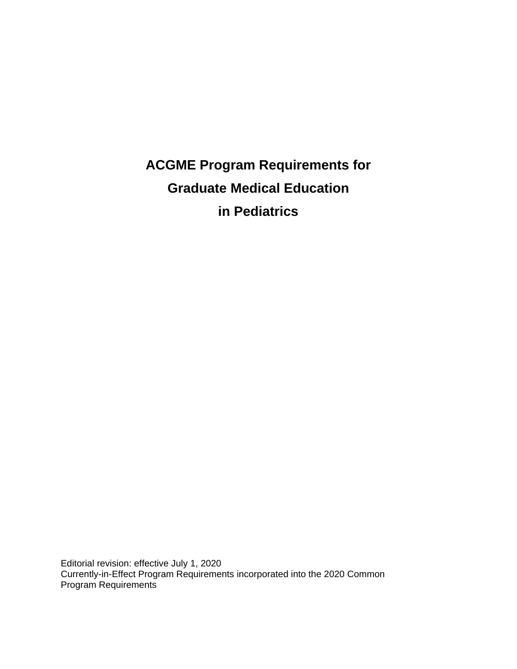**ACGME Program Requirements for Graduate Medical Education in Pediatrics**

Editorial revision: effective July 1, 2020 Currently-in-Effect Program Requirements incorporated into the 2020 Common Program Requirements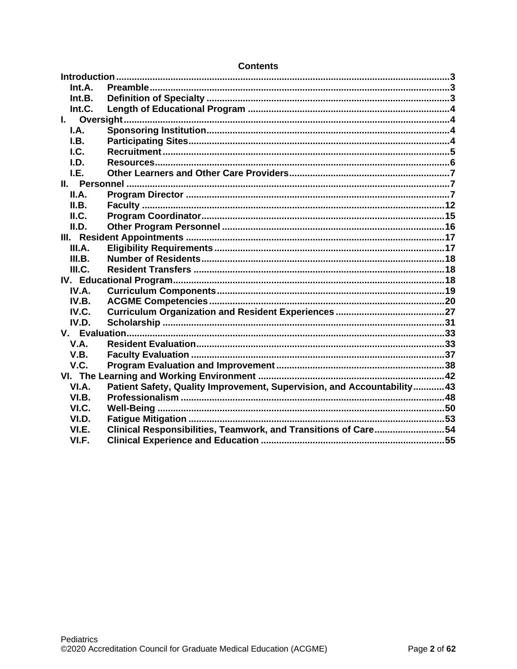| Int.A.      |                                                                         |  |
|-------------|-------------------------------------------------------------------------|--|
| Int.B.      |                                                                         |  |
| Int.C.      |                                                                         |  |
|             |                                                                         |  |
| I.A.        |                                                                         |  |
| I.B.        |                                                                         |  |
| $L$         |                                                                         |  |
| LD.         |                                                                         |  |
| I.E.        |                                                                         |  |
|             |                                                                         |  |
| II.A.       |                                                                         |  |
| II.B.       |                                                                         |  |
| II.C.       |                                                                         |  |
| II.D.       |                                                                         |  |
|             |                                                                         |  |
| III.A.      |                                                                         |  |
| III.B.      |                                                                         |  |
| III.C.      |                                                                         |  |
|             |                                                                         |  |
| IV.A.       |                                                                         |  |
| IV.B.       |                                                                         |  |
| IV.C.       |                                                                         |  |
| IV.D.       |                                                                         |  |
|             |                                                                         |  |
| <b>V.A.</b> |                                                                         |  |
| V.B.        |                                                                         |  |
| V.C.        |                                                                         |  |
|             |                                                                         |  |
| VI.A.       | Patient Safety, Quality Improvement, Supervision, and Accountability 43 |  |
| VI.B.       |                                                                         |  |
| VI.C.       |                                                                         |  |
| VI.D.       |                                                                         |  |
| VI.E.       | Clinical Responsibilities, Teamwork, and Transitions of Care54          |  |
| VI.F.       |                                                                         |  |

## **Contents**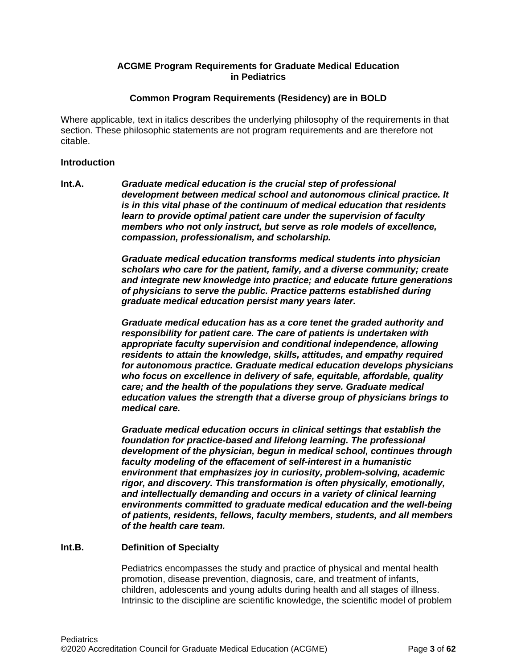## **ACGME Program Requirements for Graduate Medical Education in Pediatrics**

### **Common Program Requirements (Residency) are in BOLD**

Where applicable, text in italics describes the underlying philosophy of the requirements in that section. These philosophic statements are not program requirements and are therefore not citable.

#### <span id="page-2-0"></span>**Introduction**

<span id="page-2-1"></span>**Int.A.** *Graduate medical education is the crucial step of professional development between medical school and autonomous clinical practice. It is in this vital phase of the continuum of medical education that residents learn to provide optimal patient care under the supervision of faculty members who not only instruct, but serve as role models of excellence, compassion, professionalism, and scholarship.*

> *Graduate medical education transforms medical students into physician scholars who care for the patient, family, and a diverse community; create and integrate new knowledge into practice; and educate future generations of physicians to serve the public. Practice patterns established during graduate medical education persist many years later.*

> *Graduate medical education has as a core tenet the graded authority and responsibility for patient care. The care of patients is undertaken with appropriate faculty supervision and conditional independence, allowing residents to attain the knowledge, skills, attitudes, and empathy required for autonomous practice. Graduate medical education develops physicians who focus on excellence in delivery of safe, equitable, affordable, quality care; and the health of the populations they serve. Graduate medical education values the strength that a diverse group of physicians brings to medical care.*

> *Graduate medical education occurs in clinical settings that establish the foundation for practice-based and lifelong learning. The professional development of the physician, begun in medical school, continues through faculty modeling of the effacement of self-interest in a humanistic environment that emphasizes joy in curiosity, problem-solving, academic rigor, and discovery. This transformation is often physically, emotionally, and intellectually demanding and occurs in a variety of clinical learning environments committed to graduate medical education and the well-being of patients, residents, fellows, faculty members, students, and all members of the health care team.*

## <span id="page-2-2"></span>**Int.B. Definition of Specialty**

Pediatrics encompasses the study and practice of physical and mental health promotion, disease prevention, diagnosis, care, and treatment of infants, children, adolescents and young adults during health and all stages of illness. Intrinsic to the discipline are scientific knowledge, the scientific model of problem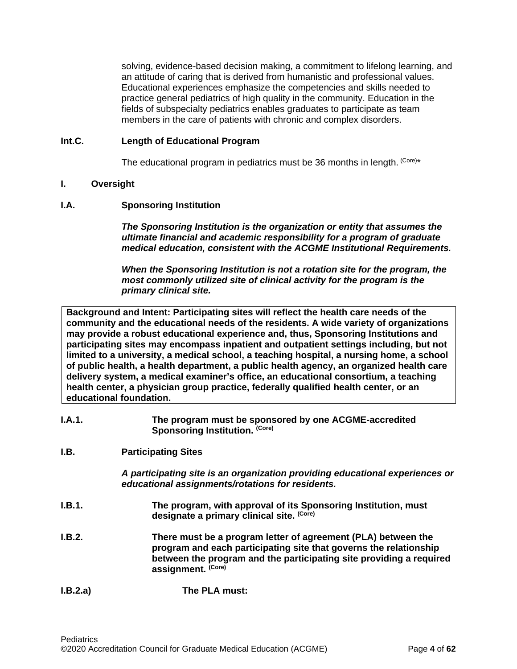solving, evidence-based decision making, a commitment to lifelong learning, and an attitude of caring that is derived from humanistic and professional values. Educational experiences emphasize the competencies and skills needed to practice general pediatrics of high quality in the community. Education in the fields of subspecialty pediatrics enables graduates to participate as team members in the care of patients with chronic and complex disorders.

## <span id="page-3-0"></span>**Int.C. Length of Educational Program**

The educational program in pediatrics must be 36 months in length. (Core)\*

## <span id="page-3-1"></span>**I. Oversight**

### <span id="page-3-2"></span>**I.A. Sponsoring Institution**

*The Sponsoring Institution is the organization or entity that assumes the ultimate financial and academic responsibility for a program of graduate medical education, consistent with the ACGME Institutional Requirements.*

*When the Sponsoring Institution is not a rotation site for the program, the most commonly utilized site of clinical activity for the program is the primary clinical site.*

**Background and Intent: Participating sites will reflect the health care needs of the community and the educational needs of the residents. A wide variety of organizations may provide a robust educational experience and, thus, Sponsoring Institutions and participating sites may encompass inpatient and outpatient settings including, but not limited to a university, a medical school, a teaching hospital, a nursing home, a school of public health, a health department, a public health agency, an organized health care delivery system, a medical examiner's office, an educational consortium, a teaching health center, a physician group practice, federally qualified health center, or an educational foundation.**

| I.A.1. | The program must be sponsored by one ACGME-accredited |
|--------|-------------------------------------------------------|
|        | Sponsoring Institution. (Core)                        |

## <span id="page-3-3"></span>**I.B. Participating Sites**

*A participating site is an organization providing educational experiences or educational assignments/rotations for residents.*

- **I.B.1. The program, with approval of its Sponsoring Institution, must designate a primary clinical site. (Core)**
- **I.B.2. There must be a program letter of agreement (PLA) between the program and each participating site that governs the relationship between the program and the participating site providing a required assignment. (Core)**
- **I.B.2.a) The PLA must:**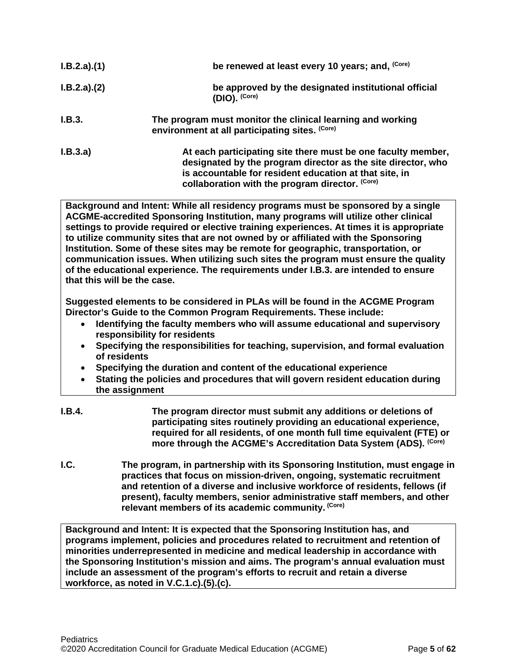| I.B.2.a)(1) | be renewed at least every 10 years; and, (Core)                                                                                                                                                                                           |
|-------------|-------------------------------------------------------------------------------------------------------------------------------------------------------------------------------------------------------------------------------------------|
| I.B.2.a)(2) | be approved by the designated institutional official<br>$(DIO)$ . $(Core)$                                                                                                                                                                |
| I.B.3.      | The program must monitor the clinical learning and working<br>environment at all participating sites. (Core)                                                                                                                              |
| I.B.3.a)    | At each participating site there must be one faculty member,<br>designated by the program director as the site director, who<br>is accountable for resident education at that site, in<br>collaboration with the program director. (Core) |

**Background and Intent: While all residency programs must be sponsored by a single ACGME-accredited Sponsoring Institution, many programs will utilize other clinical settings to provide required or elective training experiences. At times it is appropriate to utilize community sites that are not owned by or affiliated with the Sponsoring Institution. Some of these sites may be remote for geographic, transportation, or communication issues. When utilizing such sites the program must ensure the quality of the educational experience. The requirements under I.B.3. are intended to ensure that this will be the case.**

**Suggested elements to be considered in PLAs will be found in the ACGME Program Director's Guide to the Common Program Requirements. These include:**

- **Identifying the faculty members who will assume educational and supervisory responsibility for residents**
- **Specifying the responsibilities for teaching, supervision, and formal evaluation of residents**
- **Specifying the duration and content of the educational experience**
- **Stating the policies and procedures that will govern resident education during the assignment**
- **I.B.4. The program director must submit any additions or deletions of participating sites routinely providing an educational experience, required for all residents, of one month full time equivalent (FTE) or more through the ACGME's Accreditation Data System (ADS). (Core)**
- <span id="page-4-0"></span>**I.C. The program, in partnership with its Sponsoring Institution, must engage in practices that focus on mission-driven, ongoing, systematic recruitment and retention of a diverse and inclusive workforce of residents, fellows (if present), faculty members, senior administrative staff members, and other relevant members of its academic community. (Core)**

**Background and Intent: It is expected that the Sponsoring Institution has, and programs implement, policies and procedures related to recruitment and retention of minorities underrepresented in medicine and medical leadership in accordance with the Sponsoring Institution's mission and aims. The program's annual evaluation must include an assessment of the program's efforts to recruit and retain a diverse workforce, as noted in V.C.1.c).(5).(c).**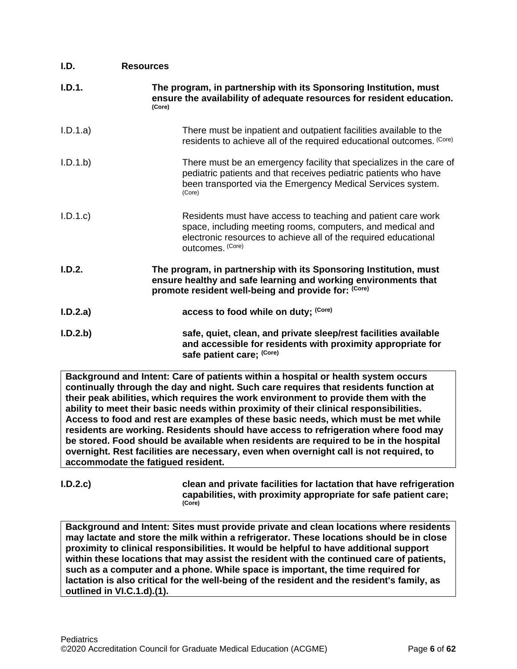<span id="page-5-0"></span>

| I.D.     | <b>Resources</b>                                                                                                                                                                                                  |
|----------|-------------------------------------------------------------------------------------------------------------------------------------------------------------------------------------------------------------------|
| I.D.1.   | The program, in partnership with its Sponsoring Institution, must<br>ensure the availability of adequate resources for resident education.<br>(Core)                                                              |
| I.D.1.a) | There must be inpatient and outpatient facilities available to the<br>residents to achieve all of the required educational outcomes. (Core)                                                                       |
| I.D.1.b  | There must be an emergency facility that specializes in the care of<br>pediatric patients and that receives pediatric patients who have<br>been transported via the Emergency Medical Services system.<br>(Core)  |
| I.D.1.c  | Residents must have access to teaching and patient care work<br>space, including meeting rooms, computers, and medical and<br>electronic resources to achieve all of the required educational<br>outcomes. (Core) |
| I.D.2.   | The program, in partnership with its Sponsoring Institution, must<br>ensure healthy and safe learning and working environments that<br>promote resident well-being and provide for: (Core)                        |
| I.D.2.a) | access to food while on duty; (Core)                                                                                                                                                                              |
| I.D.2.b) | safe, quiet, clean, and private sleep/rest facilities available<br>and accessible for residents with proximity appropriate for<br>safe patient care; (Core)                                                       |

**Background and Intent: Care of patients within a hospital or health system occurs continually through the day and night. Such care requires that residents function at their peak abilities, which requires the work environment to provide them with the ability to meet their basic needs within proximity of their clinical responsibilities. Access to food and rest are examples of these basic needs, which must be met while residents are working. Residents should have access to refrigeration where food may be stored. Food should be available when residents are required to be in the hospital overnight. Rest facilities are necessary, even when overnight call is not required, to accommodate the fatigued resident.**

**I.D.2.c) clean and private facilities for lactation that have refrigeration capabilities, with proximity appropriate for safe patient care; (Core)**

**Background and Intent: Sites must provide private and clean locations where residents may lactate and store the milk within a refrigerator. These locations should be in close proximity to clinical responsibilities. It would be helpful to have additional support within these locations that may assist the resident with the continued care of patients, such as a computer and a phone. While space is important, the time required for lactation is also critical for the well-being of the resident and the resident's family, as outlined in VI.C.1.d).(1).**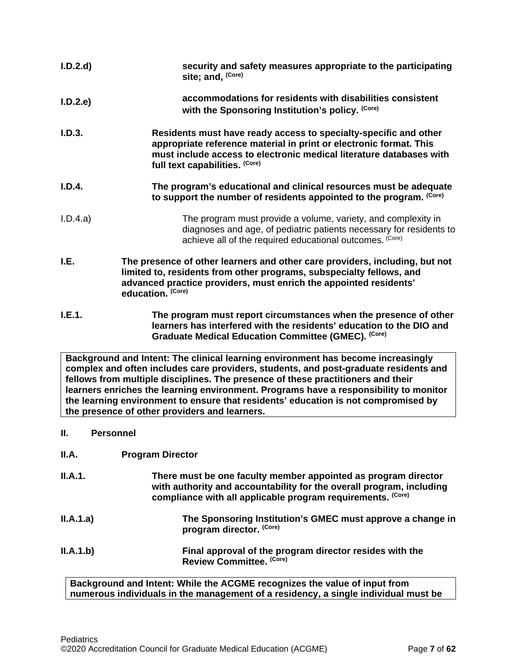| I.D.2.d                                                                                                                                                                                                                                                                                                                                                                                                                                                                                      | security and safety measures appropriate to the participating<br>site; and, (Core)                                                                                                                                                              |
|----------------------------------------------------------------------------------------------------------------------------------------------------------------------------------------------------------------------------------------------------------------------------------------------------------------------------------------------------------------------------------------------------------------------------------------------------------------------------------------------|-------------------------------------------------------------------------------------------------------------------------------------------------------------------------------------------------------------------------------------------------|
| I.D.2.e                                                                                                                                                                                                                                                                                                                                                                                                                                                                                      | accommodations for residents with disabilities consistent<br>with the Sponsoring Institution's policy. (Core)                                                                                                                                   |
| I.D.3.                                                                                                                                                                                                                                                                                                                                                                                                                                                                                       | Residents must have ready access to specialty-specific and other<br>appropriate reference material in print or electronic format. This<br>must include access to electronic medical literature databases with<br>full text capabilities. (Core) |
| I.D.4.                                                                                                                                                                                                                                                                                                                                                                                                                                                                                       | The program's educational and clinical resources must be adequate<br>to support the number of residents appointed to the program. (Core)                                                                                                        |
| I.D.4.a)                                                                                                                                                                                                                                                                                                                                                                                                                                                                                     | The program must provide a volume, variety, and complexity in<br>diagnoses and age, of pediatric patients necessary for residents to<br>achieve all of the required educational outcomes. (Core)                                                |
| I.E.                                                                                                                                                                                                                                                                                                                                                                                                                                                                                         | The presence of other learners and other care providers, including, but not<br>limited to, residents from other programs, subspecialty fellows, and<br>advanced practice providers, must enrich the appointed residents'<br>education. (Core)   |
| I.E.1.                                                                                                                                                                                                                                                                                                                                                                                                                                                                                       | The program must report circumstances when the presence of other<br>learners has interfered with the residents' education to the DIO and<br>Graduate Medical Education Committee (GMEC). (Core)                                                 |
| Background and Intent: The clinical learning environment has become increasingly<br>complex and often includes care providers, students, and post-graduate residents and<br>fellows from multiple disciplines. The presence of these practitioners and their<br>learners enriches the learning environment. Programs have a responsibility to monitor<br>the learning environment to ensure that residents' education is not compromised by<br>the presence of other providers and learners. |                                                                                                                                                                                                                                                 |
| Ш.<br><b>Personnel</b>                                                                                                                                                                                                                                                                                                                                                                                                                                                                       |                                                                                                                                                                                                                                                 |

<span id="page-6-2"></span><span id="page-6-1"></span><span id="page-6-0"></span>**II.A. Program Director**

| II.A.1.   | There must be one faculty member appointed as program director<br>with authority and accountability for the overall program, including<br>compliance with all applicable program requirements. (Core) |
|-----------|-------------------------------------------------------------------------------------------------------------------------------------------------------------------------------------------------------|
| II.A.1.a) | The Sponsoring Institution's GMEC must approve a change in<br>program director. (Core)                                                                                                                |
| II.A.1.b) | Final approval of the program director resides with the<br>Review Committee. (Core)                                                                                                                   |

**Background and Intent: While the ACGME recognizes the value of input from numerous individuals in the management of a residency, a single individual must be**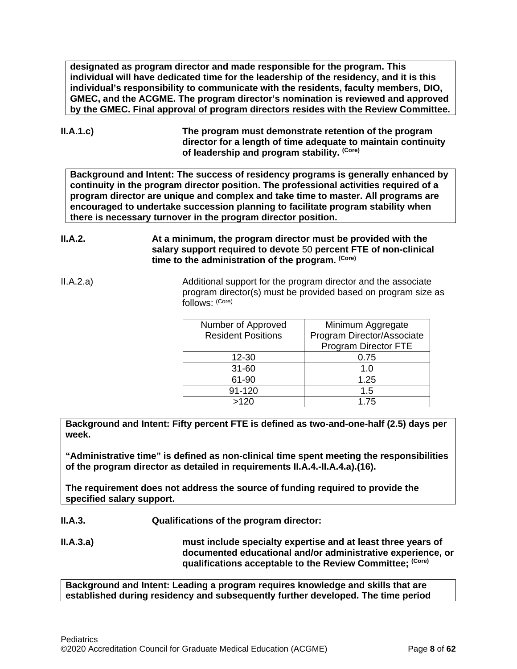**designated as program director and made responsible for the program. This individual will have dedicated time for the leadership of the residency, and it is this individual's responsibility to communicate with the residents, faculty members, DIO, GMEC, and the ACGME. The program director's nomination is reviewed and approved by the GMEC. Final approval of program directors resides with the Review Committee.**

**II.A.1.c) The program must demonstrate retention of the program director for a length of time adequate to maintain continuity of leadership and program stability. (Core)**

**Background and Intent: The success of residency programs is generally enhanced by continuity in the program director position. The professional activities required of a program director are unique and complex and take time to master. All programs are encouraged to undertake succession planning to facilitate program stability when there is necessary turnover in the program director position.**

- **II.A.2. At a minimum, the program director must be provided with the salary support required to devote** 50 **percent FTE of non-clinical time to the administration of the program. (Core)**
- II.A.2.a) Additional support for the program director and the associate program director(s) must be provided based on program size as follows: (Core)

| Number of Approved        | Minimum Aggregate          |
|---------------------------|----------------------------|
| <b>Resident Positions</b> | Program Director/Associate |
|                           | Program Director FTE       |
| 12-30                     | 0.75                       |
| $31 - 60$                 | 1.0                        |
| 61-90                     | 1.25                       |
| 91-120                    | 1.5                        |
| >120                      | 1.75                       |

**Background and Intent: Fifty percent FTE is defined as two-and-one-half (2.5) days per week.** 

**"Administrative time" is defined as non-clinical time spent meeting the responsibilities of the program director as detailed in requirements II.A.4.-II.A.4.a).(16).** 

**The requirement does not address the source of funding required to provide the specified salary support.**

**II.A.3. Qualifications of the program director:**

**II.A.3.a) must include specialty expertise and at least three years of documented educational and/or administrative experience, or qualifications acceptable to the Review Committee; (Core)**

**Background and Intent: Leading a program requires knowledge and skills that are established during residency and subsequently further developed. The time period**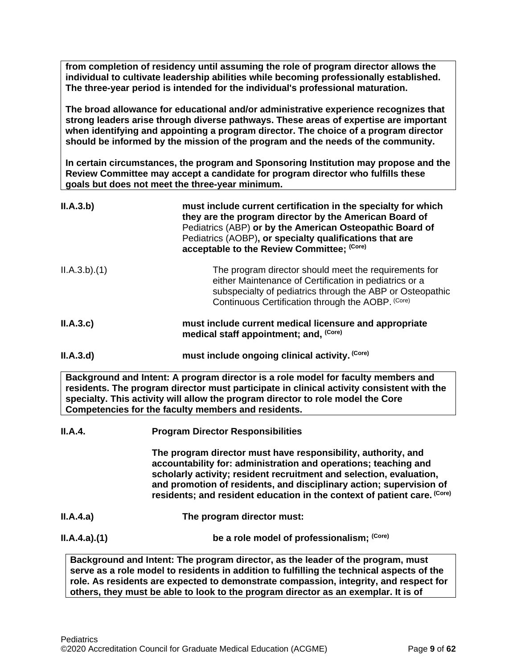**from completion of residency until assuming the role of program director allows the individual to cultivate leadership abilities while becoming professionally established. The three-year period is intended for the individual's professional maturation.**

**The broad allowance for educational and/or administrative experience recognizes that strong leaders arise through diverse pathways. These areas of expertise are important when identifying and appointing a program director. The choice of a program director should be informed by the mission of the program and the needs of the community.**

**In certain circumstances, the program and Sponsoring Institution may propose and the Review Committee may accept a candidate for program director who fulfills these goals but does not meet the three-year minimum.**

| II.A.3.b)   | must include current certification in the specialty for which<br>they are the program director by the American Board of<br>Pediatrics (ABP) or by the American Osteopathic Board of<br>Pediatrics (AOBP), or specialty qualifications that are<br>acceptable to the Review Committee; (Core) |
|-------------|----------------------------------------------------------------------------------------------------------------------------------------------------------------------------------------------------------------------------------------------------------------------------------------------|
| ILA.3.b)(1) | The program director should meet the requirements for<br>either Maintenance of Certification in pediatrics or a<br>subspecialty of pediatrics through the ABP or Osteopathic<br>Continuous Certification through the AOBP. (Core)                                                            |
| II.A.3.c    | must include current medical licensure and appropriate<br>medical staff appointment; and, (Core)                                                                                                                                                                                             |
| II.A.3.d    | must include ongoing clinical activity. (Core)                                                                                                                                                                                                                                               |

**Background and Intent: A program director is a role model for faculty members and residents. The program director must participate in clinical activity consistent with the specialty. This activity will allow the program director to role model the Core Competencies for the faculty members and residents.**

**II.A.4. Program Director Responsibilities**

**The program director must have responsibility, authority, and accountability for: administration and operations; teaching and scholarly activity; resident recruitment and selection, evaluation, and promotion of residents, and disciplinary action; supervision of residents; and resident education in the context of patient care. (Core)**

- **II.A.4.a) The program director must:**
- **II.A.4.a).(1) be a role model of professionalism;** <sup>(Core)</sup>

**Background and Intent: The program director, as the leader of the program, must serve as a role model to residents in addition to fulfilling the technical aspects of the role. As residents are expected to demonstrate compassion, integrity, and respect for others, they must be able to look to the program director as an exemplar. It is of**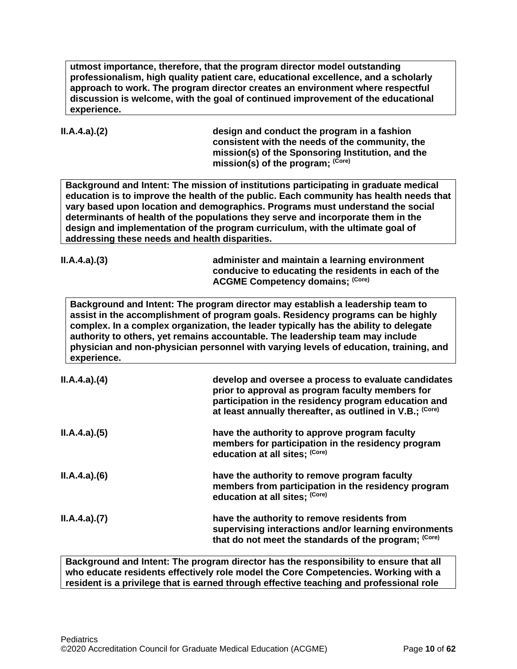**utmost importance, therefore, that the program director model outstanding professionalism, high quality patient care, educational excellence, and a scholarly approach to work. The program director creates an environment where respectful discussion is welcome, with the goal of continued improvement of the educational experience.**

**II.A.4.a).(2) design and conduct the program in a fashion consistent with the needs of the community, the mission(s) of the Sponsoring Institution, and the mission(s) of the program; (Core)**

**Background and Intent: The mission of institutions participating in graduate medical education is to improve the health of the public. Each community has health needs that vary based upon location and demographics. Programs must understand the social determinants of health of the populations they serve and incorporate them in the design and implementation of the program curriculum, with the ultimate goal of addressing these needs and health disparities.**

**II.A.4.a).(3) administer and maintain a learning environment conducive to educating the residents in each of the ACGME Competency domains; (Core)**

**Background and Intent: The program director may establish a leadership team to assist in the accomplishment of program goals. Residency programs can be highly complex. In a complex organization, the leader typically has the ability to delegate authority to others, yet remains accountable. The leadership team may include physician and non-physician personnel with varying levels of education, training, and experience.**

| ILA.4.a)(4) | develop and oversee a process to evaluate candidates<br>prior to approval as program faculty members for<br>participation in the residency program education and<br>at least annually thereafter, as outlined in V.B.; (Core) |
|-------------|-------------------------------------------------------------------------------------------------------------------------------------------------------------------------------------------------------------------------------|
| ILA.4.a)(5) | have the authority to approve program faculty<br>members for participation in the residency program<br>education at all sites; (Core)                                                                                         |
| ILA.4.a)(6) | have the authority to remove program faculty<br>members from participation in the residency program<br>education at all sites; (Core)                                                                                         |
| ILA.4.a)(7) | have the authority to remove residents from<br>supervising interactions and/or learning environments<br>that do not meet the standards of the program; (Core)                                                                 |

**Background and Intent: The program director has the responsibility to ensure that all who educate residents effectively role model the Core Competencies. Working with a resident is a privilege that is earned through effective teaching and professional role**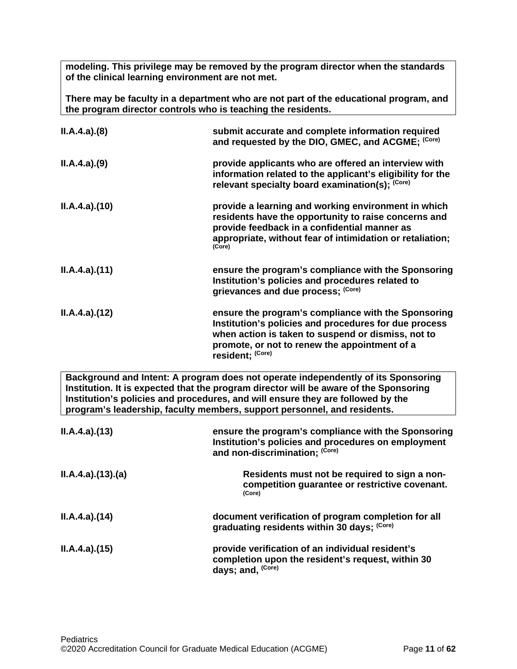**modeling. This privilege may be removed by the program director when the standards of the clinical learning environment are not met.**

**There may be faculty in a department who are not part of the educational program, and the program director controls who is teaching the residents.**

| ILA.4.a)(8)     | submit accurate and complete information required<br>and requested by the DIO, GMEC, and ACGME; (Core)                                                                                                                                                                                                                                    |
|-----------------|-------------------------------------------------------------------------------------------------------------------------------------------------------------------------------------------------------------------------------------------------------------------------------------------------------------------------------------------|
| ILA.4.a)(9)     | provide applicants who are offered an interview with<br>information related to the applicant's eligibility for the<br>relevant specialty board examination(s); (Core)                                                                                                                                                                     |
| ILA.4.a)(10)    | provide a learning and working environment in which<br>residents have the opportunity to raise concerns and<br>provide feedback in a confidential manner as<br>appropriate, without fear of intimidation or retaliation;<br>(Core)                                                                                                        |
| ILA.4.a)(11)    | ensure the program's compliance with the Sponsoring<br>Institution's policies and procedures related to<br>grievances and due process; (Core)                                                                                                                                                                                             |
| ILA.4.a)(12)    | ensure the program's compliance with the Sponsoring<br>Institution's policies and procedures for due process<br>when action is taken to suspend or dismiss, not to<br>promote, or not to renew the appointment of a<br>resident; (Core)                                                                                                   |
|                 | Background and Intent: A program does not operate independently of its Sponsoring<br>Institution. It is expected that the program director will be aware of the Sponsoring<br>Institution's policies and procedures, and will ensure they are followed by the<br>program's leadership, faculty members, support personnel, and residents. |
| ILA.4.a)(13)    | ensure the program's compliance with the Sponsoring<br>Institution's policies and procedures on employment<br>and non-discrimination; (Core)                                                                                                                                                                                              |
| ILA.4.a)(13)(a) | Residents must not be required to sign a non-<br>competition guarantee or restrictive covenant.<br>(Core)                                                                                                                                                                                                                                 |
| ILA.4.a)(14)    | document verification of program completion for all<br>graduating residents within 30 days; (Core)                                                                                                                                                                                                                                        |
| ILA.4.a)(15)    | provide verification of an individual resident's<br>completion upon the resident's request, within 30<br>days; and, (Core)                                                                                                                                                                                                                |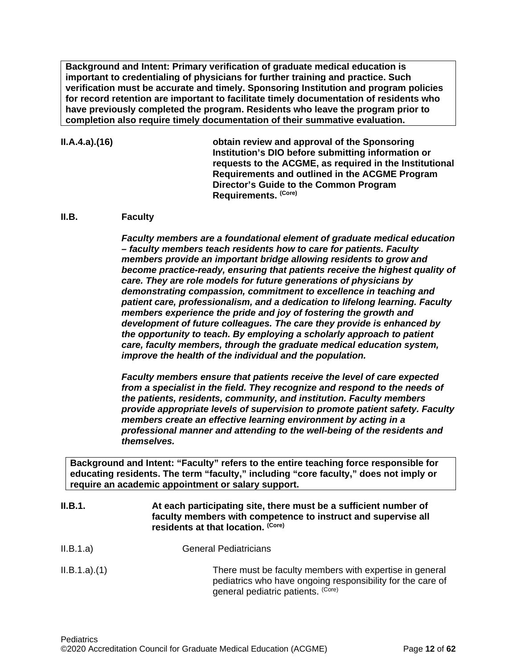**Background and Intent: Primary verification of graduate medical education is important to credentialing of physicians for further training and practice. Such verification must be accurate and timely. Sponsoring Institution and program policies for record retention are important to facilitate timely documentation of residents who have previously completed the program. Residents who leave the program prior to completion also require timely documentation of their summative evaluation.**

## **II.A.4.a).(16) obtain review and approval of the Sponsoring Institution's DIO before submitting information or requests to the ACGME, as required in the Institutional Requirements and outlined in the ACGME Program Director's Guide to the Common Program Requirements. (Core)**

### <span id="page-11-0"></span>**II.B. Faculty**

*Faculty members are a foundational element of graduate medical education – faculty members teach residents how to care for patients. Faculty members provide an important bridge allowing residents to grow and become practice-ready, ensuring that patients receive the highest quality of care. They are role models for future generations of physicians by demonstrating compassion, commitment to excellence in teaching and patient care, professionalism, and a dedication to lifelong learning. Faculty members experience the pride and joy of fostering the growth and development of future colleagues. The care they provide is enhanced by the opportunity to teach. By employing a scholarly approach to patient care, faculty members, through the graduate medical education system, improve the health of the individual and the population.*

*Faculty members ensure that patients receive the level of care expected from a specialist in the field. They recognize and respond to the needs of the patients, residents, community, and institution. Faculty members provide appropriate levels of supervision to promote patient safety. Faculty members create an effective learning environment by acting in a professional manner and attending to the well-being of the residents and themselves.*

**Background and Intent: "Faculty" refers to the entire teaching force responsible for educating residents. The term "faculty," including "core faculty," does not imply or require an academic appointment or salary support.**

| II.B.1.     | At each participating site, there must be a sufficient number of<br>faculty members with competence to instruct and supervise all<br>residents at that location. (Core) |
|-------------|-------------------------------------------------------------------------------------------------------------------------------------------------------------------------|
| II.B.1.a)   | <b>General Pediatricians</b>                                                                                                                                            |
| ILB.1.a)(1) | There must be faculty members with expertise in general<br>pediatrics who have ongoing responsibility for the care of<br>general pediatric patients. (Core)             |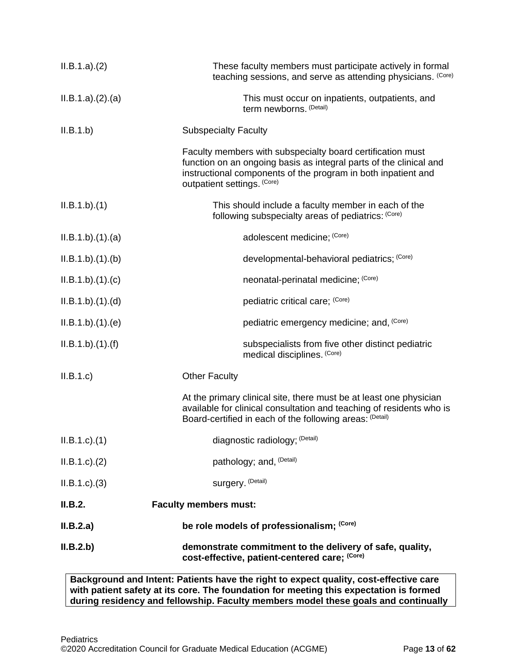| ILB.1.a)(2)        | These faculty members must participate actively in formal<br>teaching sessions, and serve as attending physicians. (Core)                                                                                                        |
|--------------------|----------------------------------------------------------------------------------------------------------------------------------------------------------------------------------------------------------------------------------|
| ILB.1.a)(2).(a)    | This must occur on inpatients, outpatients, and<br>term newborns. (Detail)                                                                                                                                                       |
| II.B.1.b)          | <b>Subspecialty Faculty</b>                                                                                                                                                                                                      |
|                    | Faculty members with subspecialty board certification must<br>function on an ongoing basis as integral parts of the clinical and<br>instructional components of the program in both inpatient and<br>outpatient settings. (Core) |
| ILB.1.b)(1)        | This should include a faculty member in each of the<br>following subspecialty areas of pediatrics: (Core)                                                                                                                        |
| ILB.1.b)(1)(a)     | adolescent medicine; (Core)                                                                                                                                                                                                      |
| ILB.1.b)(1)(b)     | developmental-behavioral pediatrics; (Core)                                                                                                                                                                                      |
| ILB.1.b)(1)(c)     | neonatal-perinatal medicine; (Core)                                                                                                                                                                                              |
| ILB.1.b)(1)(d)     | pediatric critical care; (Core)                                                                                                                                                                                                  |
| ILB.1.b)(1)(e)     | pediatric emergency medicine; and, (Core)                                                                                                                                                                                        |
| ILB.1.b)(1)(f)     | subspecialists from five other distinct pediatric<br>medical disciplines. (Core)                                                                                                                                                 |
| II.B.1.c           | <b>Other Faculty</b>                                                                                                                                                                                                             |
|                    | At the primary clinical site, there must be at least one physician<br>available for clinical consultation and teaching of residents who is<br>Board-certified in each of the following areas: (Detail)                           |
| $ILB.1.c$ . $(1)$  | diagnostic radiology; (Detail)                                                                                                                                                                                                   |
| $ILB.1.c$ . $(2)$  | pathology; and, (Detail)                                                                                                                                                                                                         |
| $ILB.1.c$ ). $(3)$ | surgery. (Detail)                                                                                                                                                                                                                |
| II.B.2.            | <b>Faculty members must:</b>                                                                                                                                                                                                     |
| II.B.2.a)          | be role models of professionalism; (Core)                                                                                                                                                                                        |
| II.B.2.b)          | demonstrate commitment to the delivery of safe, quality,<br>cost-effective, patient-centered care; (Core)                                                                                                                        |

**Background and Intent: Patients have the right to expect quality, cost-effective care with patient safety at its core. The foundation for meeting this expectation is formed during residency and fellowship. Faculty members model these goals and continually**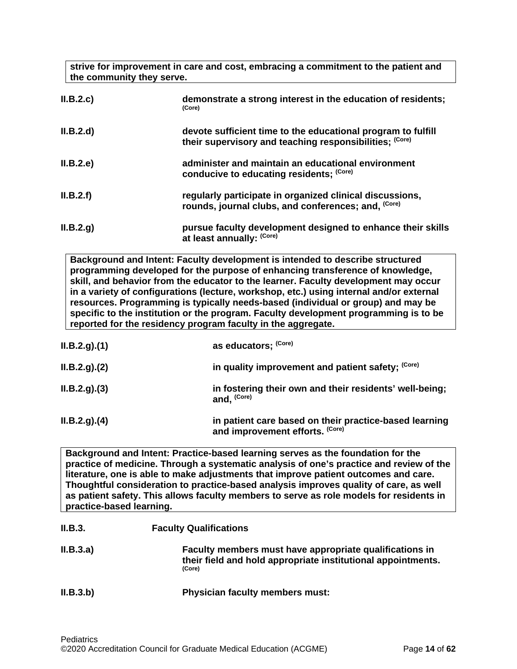**strive for improvement in care and cost, embracing a commitment to the patient and the community they serve. II.B.2.c) demonstrate a strong interest in the education of residents; (Core)**

- **II.B.2.d) devote sufficient time to the educational program to fulfill their supervisory and teaching responsibilities; (Core)**
- **II.B.2.e) administer and maintain an educational environment conducive to educating residents; (Core)**
- **II.B.2.f) regularly participate in organized clinical discussions, rounds, journal clubs, and conferences; and, (Core)**
- **II.B.2.g) pursue faculty development designed to enhance their skills at least annually: (Core)**

**Background and Intent: Faculty development is intended to describe structured programming developed for the purpose of enhancing transference of knowledge, skill, and behavior from the educator to the learner. Faculty development may occur in a variety of configurations (lecture, workshop, etc.) using internal and/or external resources. Programming is typically needs-based (individual or group) and may be specific to the institution or the program. Faculty development programming is to be reported for the residency program faculty in the aggregate.**

| ILB.2.g. (1) | as educators; (Core)                                                                      |
|--------------|-------------------------------------------------------------------------------------------|
| ILB.2.g. (2) | in quality improvement and patient safety; (Core)                                         |
| ILB.2.g. (3) | in fostering their own and their residents' well-being;<br>and, (Core)                    |
| ILB.2.g. (4) | in patient care based on their practice-based learning<br>and improvement efforts. (Core) |

**Background and Intent: Practice-based learning serves as the foundation for the practice of medicine. Through a systematic analysis of one's practice and review of the literature, one is able to make adjustments that improve patient outcomes and care. Thoughtful consideration to practice-based analysis improves quality of care, as well as patient safety. This allows faculty members to serve as role models for residents in practice-based learning.**

| II.B.3.   | <b>Faculty Qualifications</b>                                                                                                     |  |
|-----------|-----------------------------------------------------------------------------------------------------------------------------------|--|
| II.B.3.a) | Faculty members must have appropriate qualifications in<br>their field and hold appropriate institutional appointments.<br>(Core) |  |
| II.B.3.b) | <b>Physician faculty members must:</b>                                                                                            |  |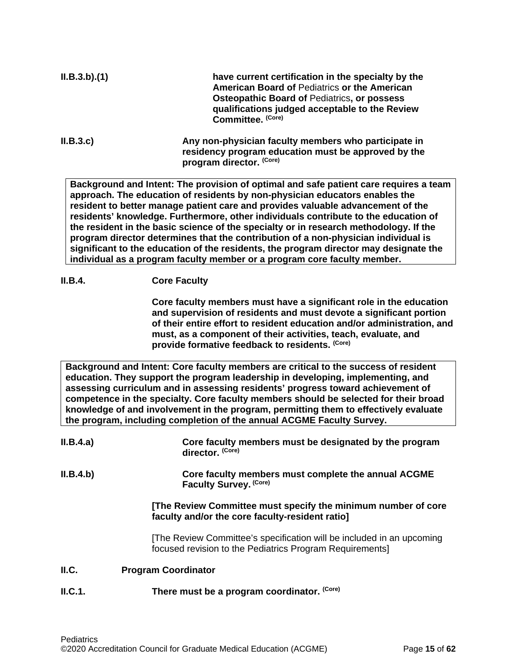| ILB.3.b)(1) | have current certification in the specialty by the<br><b>American Board of Pediatrics or the American</b><br><b>Osteopathic Board of Pediatrics, or possess</b><br>qualifications judged acceptable to the Review<br>Committee. (Core) |
|-------------|----------------------------------------------------------------------------------------------------------------------------------------------------------------------------------------------------------------------------------------|
| II.B.3.c    | Any non-physician faculty members who participate in<br>residency program education must be approved by the                                                                                                                            |

**program director. (Core)**

**Background and Intent: The provision of optimal and safe patient care requires a team approach. The education of residents by non-physician educators enables the resident to better manage patient care and provides valuable advancement of the residents' knowledge. Furthermore, other individuals contribute to the education of the resident in the basic science of the specialty or in research methodology. If the program director determines that the contribution of a non-physician individual is significant to the education of the residents, the program director may designate the individual as a program faculty member or a program core faculty member.**

## **II.B.4. Core Faculty**

**Core faculty members must have a significant role in the education and supervision of residents and must devote a significant portion of their entire effort to resident education and/or administration, and must, as a component of their activities, teach, evaluate, and provide formative feedback to residents. (Core)**

**Background and Intent: Core faculty members are critical to the success of resident education. They support the program leadership in developing, implementing, and assessing curriculum and in assessing residents' progress toward achievement of competence in the specialty. Core faculty members should be selected for their broad knowledge of and involvement in the program, permitting them to effectively evaluate the program, including completion of the annual ACGME Faculty Survey.**

<span id="page-14-0"></span>

| II.B.4.a) | Core faculty members must be designated by the program<br>director. (Core)                                                       |
|-----------|----------------------------------------------------------------------------------------------------------------------------------|
| II.B.4.b) | Core faculty members must complete the annual ACGME<br>Faculty Survey. (Core)                                                    |
|           | [The Review Committee must specify the minimum number of core<br>faculty and/or the core faculty-resident ratio]                 |
|           | [The Review Committee's specification will be included in an upcoming<br>focused revision to the Pediatrics Program Requirements |
| II.C.     | <b>Program Coordinator</b>                                                                                                       |
| ILC.1.    | There must be a program coordinator. (Core)                                                                                      |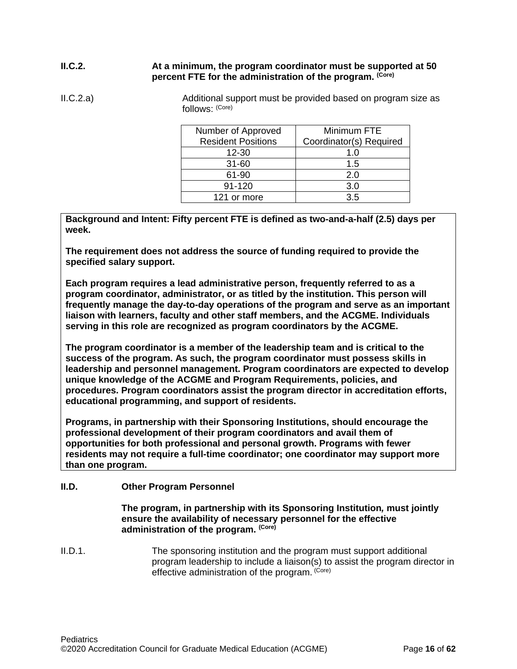## **II.C.2. At a minimum, the program coordinator must be supported at 50 percent FTE for the administration of the program. (Core)**

II.C.2.a) Additional support must be provided based on program size as follows: (Core)

| Minimum FTE             |
|-------------------------|
| Coordinator(s) Required |
| 1.0                     |
| 1.5                     |
| 2.0                     |
| 3.0                     |
| 3.5                     |
|                         |

**Background and Intent: Fifty percent FTE is defined as two-and-a-half (2.5) days per week.** 

**The requirement does not address the source of funding required to provide the specified salary support.**

**Each program requires a lead administrative person, frequently referred to as a program coordinator, administrator, or as titled by the institution. This person will frequently manage the day-to-day operations of the program and serve as an important liaison with learners, faculty and other staff members, and the ACGME. Individuals serving in this role are recognized as program coordinators by the ACGME.**

**The program coordinator is a member of the leadership team and is critical to the success of the program. As such, the program coordinator must possess skills in leadership and personnel management. Program coordinators are expected to develop unique knowledge of the ACGME and Program Requirements, policies, and procedures. Program coordinators assist the program director in accreditation efforts, educational programming, and support of residents.**

**Programs, in partnership with their Sponsoring Institutions, should encourage the professional development of their program coordinators and avail them of opportunities for both professional and personal growth. Programs with fewer residents may not require a full-time coordinator; one coordinator may support more than one program.**

## <span id="page-15-0"></span>**II.D. Other Program Personnel**

**The program, in partnership with its Sponsoring Institution***,* **must jointly ensure the availability of necessary personnel for the effective administration of the program. (Core)**

II.D.1. The sponsoring institution and the program must support additional program leadership to include a liaison(s) to assist the program director in effective administration of the program. (Core)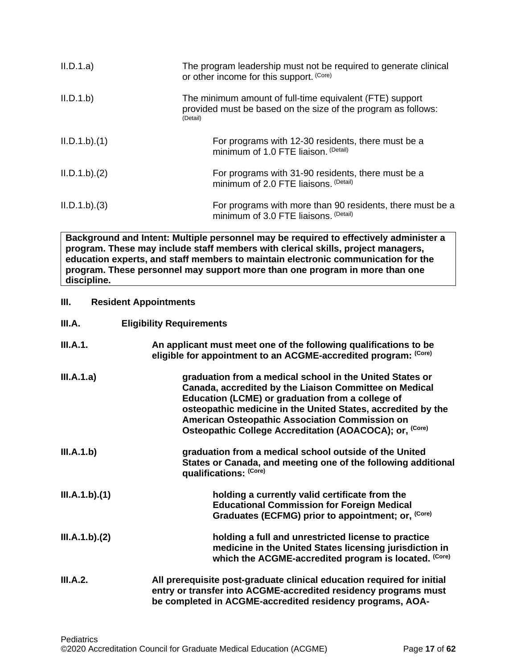| II.D.1.a)     | The program leadership must not be required to generate clinical<br>or other income for this support. (Core)                          |
|---------------|---------------------------------------------------------------------------------------------------------------------------------------|
| II.D.1.b)     | The minimum amount of full-time equivalent (FTE) support<br>provided must be based on the size of the program as follows:<br>(Detail) |
| ILD.1.b)(1)   | For programs with 12-30 residents, there must be a<br>minimum of 1.0 FTE liaison. (Detail)                                            |
| ILD.1.b)(2)   | For programs with 31-90 residents, there must be a<br>minimum of 2.0 FTE liaisons. (Detail)                                           |
| IL.D.1.b).(3) | For programs with more than 90 residents, there must be a<br>minimum of 3.0 FTE liaisons. (Detail)                                    |

**Background and Intent: Multiple personnel may be required to effectively administer a program. These may include staff members with clerical skills, project managers, education experts, and staff members to maintain electronic communication for the program. These personnel may support more than one program in more than one discipline.**

## <span id="page-16-0"></span>**III. Resident Appointments**

<span id="page-16-1"></span>

| III.A. | <b>Eligibility Requirements</b> |
|--------|---------------------------------|
|        |                                 |

| <b>III.A.1.</b> | An applicant must meet one of the following qualifications to be<br>eligible for appointment to an ACGME-accredited program: (Core)                                                                                                                                                                                                                            |
|-----------------|----------------------------------------------------------------------------------------------------------------------------------------------------------------------------------------------------------------------------------------------------------------------------------------------------------------------------------------------------------------|
| III.A.1.a)      | graduation from a medical school in the United States or<br>Canada, accredited by the Liaison Committee on Medical<br>Education (LCME) or graduation from a college of<br>osteopathic medicine in the United States, accredited by the<br>American Osteopathic Association Commission on<br>Osteopathic College Accreditation (AOACOCA); or, <sup>(Core)</sup> |
| III.A.1.b)      | graduation from a medical school outside of the United<br>States or Canada, and meeting one of the following additional<br>qualifications: (Core)                                                                                                                                                                                                              |
| III.A.1.b)(1)   | holding a currently valid certificate from the<br><b>Educational Commission for Foreign Medical</b><br>Graduates (ECFMG) prior to appointment; or, (Core)                                                                                                                                                                                                      |
| III.A.1.b)(2)   | holding a full and unrestricted license to practice<br>medicine in the United States licensing jurisdiction in<br>which the ACGME-accredited program is located. (Core)                                                                                                                                                                                        |
| III.A.2.        | All prerequisite post-graduate clinical education required for initial<br>entry or transfer into ACGME-accredited residency programs must<br>be completed in ACGME-accredited residency programs, AOA-                                                                                                                                                         |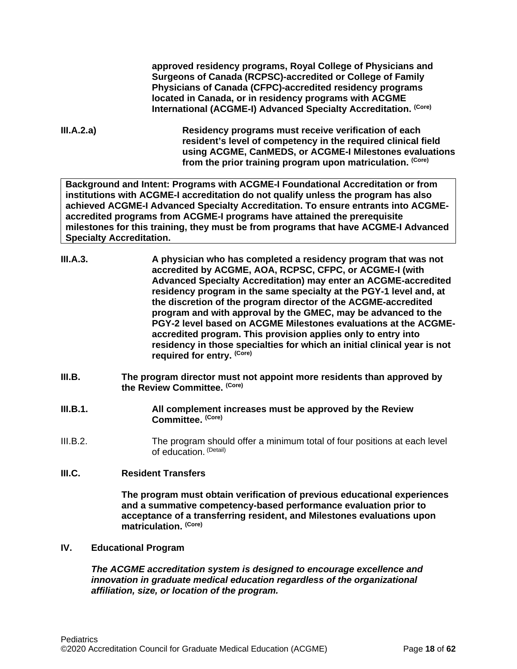**approved residency programs, Royal College of Physicians and Surgeons of Canada (RCPSC)-accredited or College of Family Physicians of Canada (CFPC)-accredited residency programs located in Canada, or in residency programs with ACGME International (ACGME-I) Advanced Specialty Accreditation. (Core)**

**III.A.2.a) Residency programs must receive verification of each resident's level of competency in the required clinical field using ACGME, CanMEDS, or ACGME-I Milestones evaluations from the prior training program upon matriculation. (Core)**

**Background and Intent: Programs with ACGME-I Foundational Accreditation or from institutions with ACGME-I accreditation do not qualify unless the program has also achieved ACGME-I Advanced Specialty Accreditation. To ensure entrants into ACGMEaccredited programs from ACGME-I programs have attained the prerequisite milestones for this training, they must be from programs that have ACGME-I Advanced Specialty Accreditation.**

- **III.A.3. A physician who has completed a residency program that was not accredited by ACGME, AOA, RCPSC, CFPC, or ACGME-I (with Advanced Specialty Accreditation) may enter an ACGME-accredited residency program in the same specialty at the PGY-1 level and, at the discretion of the program director of the ACGME-accredited program and with approval by the GMEC, may be advanced to the PGY-2 level based on ACGME Milestones evaluations at the ACGMEaccredited program. This provision applies only to entry into residency in those specialties for which an initial clinical year is not required for entry. (Core)**
- <span id="page-17-0"></span>**III.B. The program director must not appoint more residents than approved by the Review Committee. (Core)**
- **III.B.1. All complement increases must be approved by the Review Committee. (Core)**
- III.B.2. The program should offer a minimum total of four positions at each level of education. (Detail)

## <span id="page-17-1"></span>**III.C. Resident Transfers**

**The program must obtain verification of previous educational experiences and a summative competency-based performance evaluation prior to acceptance of a transferring resident, and Milestones evaluations upon matriculation. (Core)**

### <span id="page-17-2"></span>**IV. Educational Program**

*The ACGME accreditation system is designed to encourage excellence and innovation in graduate medical education regardless of the organizational affiliation, size, or location of the program.*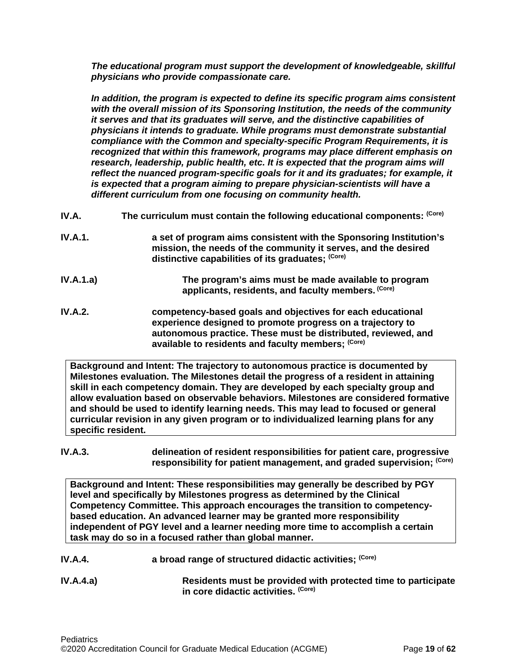*The educational program must support the development of knowledgeable, skillful physicians who provide compassionate care.*

*In addition, the program is expected to define its specific program aims consistent with the overall mission of its Sponsoring Institution, the needs of the community it serves and that its graduates will serve, and the distinctive capabilities of physicians it intends to graduate. While programs must demonstrate substantial compliance with the Common and specialty-specific Program Requirements, it is recognized that within this framework, programs may place different emphasis on research, leadership, public health, etc. It is expected that the program aims will reflect the nuanced program-specific goals for it and its graduates; for example, it is expected that a program aiming to prepare physician-scientists will have a different curriculum from one focusing on community health.*

- <span id="page-18-0"></span>**IV.A.** The curriculum must contain the following educational components: (Core)
- **IV.A.1. a set of program aims consistent with the Sponsoring Institution's mission, the needs of the community it serves, and the desired distinctive capabilities of its graduates; (Core)**
- **IV.A.1.a) The program's aims must be made available to program applicants, residents, and faculty members. (Core)**
- **IV.A.2. competency-based goals and objectives for each educational experience designed to promote progress on a trajectory to autonomous practice. These must be distributed, reviewed, and available to residents and faculty members; (Core)**

**Background and Intent: The trajectory to autonomous practice is documented by Milestones evaluation. The Milestones detail the progress of a resident in attaining skill in each competency domain. They are developed by each specialty group and allow evaluation based on observable behaviors. Milestones are considered formative and should be used to identify learning needs. This may lead to focused or general curricular revision in any given program or to individualized learning plans for any specific resident.**

#### **IV.A.3. delineation of resident responsibilities for patient care, progressive responsibility for patient management, and graded supervision; (Core)**

**Background and Intent: These responsibilities may generally be described by PGY level and specifically by Milestones progress as determined by the Clinical Competency Committee. This approach encourages the transition to competencybased education. An advanced learner may be granted more responsibility independent of PGY level and a learner needing more time to accomplish a certain task may do so in a focused rather than global manner.**

- **IV.A.4. a broad range of structured didactic activities; (Core)**
- **IV.A.4.a) Residents must be provided with protected time to participate in core didactic activities. (Core)**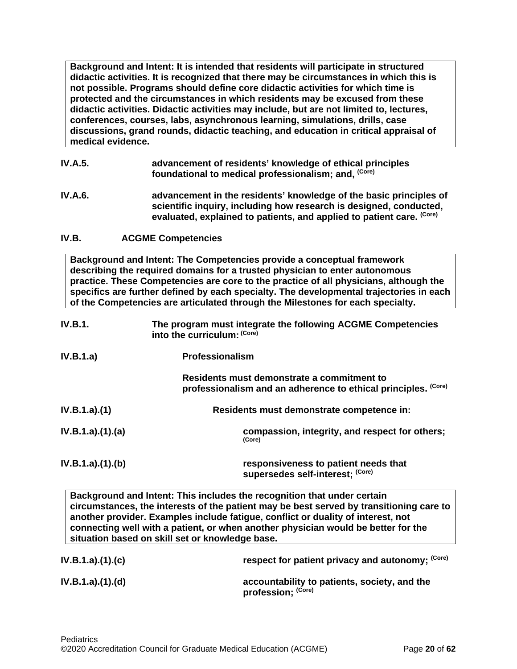**Background and Intent: It is intended that residents will participate in structured didactic activities. It is recognized that there may be circumstances in which this is not possible. Programs should define core didactic activities for which time is protected and the circumstances in which residents may be excused from these didactic activities. Didactic activities may include, but are not limited to, lectures, conferences, courses, labs, asynchronous learning, simulations, drills, case discussions, grand rounds, didactic teaching, and education in critical appraisal of medical evidence.**

- **IV.A.5. advancement of residents' knowledge of ethical principles foundational to medical professionalism; and, (Core)**
- **IV.A.6. advancement in the residents' knowledge of the basic principles of scientific inquiry, including how research is designed, conducted, evaluated, explained to patients, and applied to patient care. (Core)**
- <span id="page-19-0"></span>**IV.B. ACGME Competencies**

**Background and Intent: The Competencies provide a conceptual framework describing the required domains for a trusted physician to enter autonomous practice. These Competencies are core to the practice of all physicians, although the specifics are further defined by each specialty. The developmental trajectories in each of the Competencies are articulated through the Milestones for each specialty.**

| <b>IV.B.1.</b>  | The program must integrate the following ACGME Competencies<br>into the curriculum: (Core)                      |
|-----------------|-----------------------------------------------------------------------------------------------------------------|
| IV.B.1.a)       | <b>Professionalism</b>                                                                                          |
|                 | Residents must demonstrate a commitment to<br>(Core)<br>professionalism and an adherence to ethical principles. |
| IV.B.1.a)(1)    | Residents must demonstrate competence in:                                                                       |
| IV.B.1.a)(1)(a) | compassion, integrity, and respect for others;<br>(Core)                                                        |
| IV.B.1.a)(1)(b) | responsiveness to patient needs that<br>supersedes self-interest; (Core)                                        |

**Background and Intent: This includes the recognition that under certain circumstances, the interests of the patient may be best served by transitioning care to another provider. Examples include fatigue, conflict or duality of interest, not connecting well with a patient, or when another physician would be better for the situation based on skill set or knowledge base.**

| IV.B.1.a)(1)(c) | respect for patient privacy and autonomy; (Core)                   |
|-----------------|--------------------------------------------------------------------|
| IV.B.1.a)(1)(d) | accountability to patients, society, and the<br>profession; (Core) |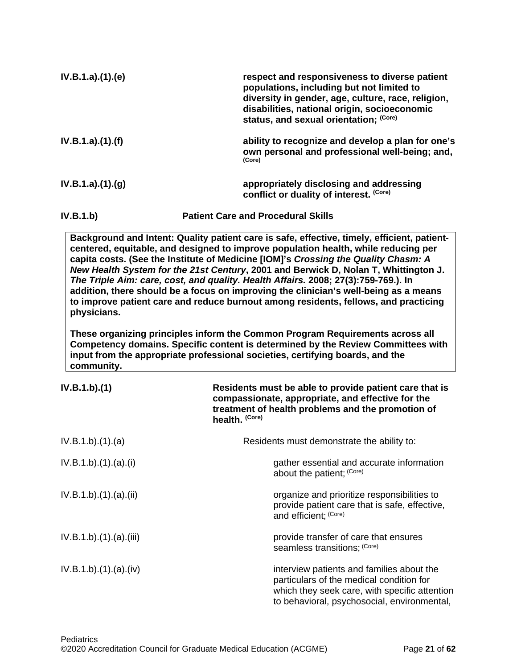| IV.B.1.a)(1)(e) | respect and responsiveness to diverse patient<br>populations, including but not limited to<br>diversity in gender, age, culture, race, religion,<br>disabilities, national origin, socioeconomic<br>status, and sexual orientation; (Core) |
|-----------------|--------------------------------------------------------------------------------------------------------------------------------------------------------------------------------------------------------------------------------------------|
| IV.B.1.a)(1)(f) | ability to recognize and develop a plan for one's<br>own personal and professional well-being; and,<br>(Core)                                                                                                                              |
| IV.B.1.a)(1)(q) | appropriately disclosing and addressing<br>conflict or duality of interest. (Core)                                                                                                                                                         |
| IV.B.1.b)       | <b>Patient Care and Procedural Skills</b>                                                                                                                                                                                                  |
|                 | Background and Intent: Quality patient care is safe, effective, timely, efficient, patient-<br>centered, equitable, and designed to improve population health, while reducing per                                                          |

**capita costs. (See the Institute of Medicine [IOM]'s** *Crossing the Quality Chasm: A New Health System for the 21st Century***, 2001 and Berwick D, Nolan T, Whittington J.**  *The Triple Aim: care, cost, and quality. Health Affairs.* **2008; 27(3):759-769.). In addition, there should be a focus on improving the clinician's well-being as a means to improve patient care and reduce burnout among residents, fellows, and practicing physicians.**

**These organizing principles inform the Common Program Requirements across all Competency domains. Specific content is determined by the Review Committees with input from the appropriate professional societies, certifying boards, and the community.**

| IV.B.1.b)(1)         | Residents must be able to provide patient care that is<br>compassionate, appropriate, and effective for the<br>treatment of health problems and the promotion of<br>health. (Core)    |
|----------------------|---------------------------------------------------------------------------------------------------------------------------------------------------------------------------------------|
| IV.B.1.b)(1)(a)      | Residents must demonstrate the ability to:                                                                                                                                            |
| IV.B.1.b)(1)(a)(i)   | gather essential and accurate information<br>about the patient; (Core)                                                                                                                |
| IV.B.1.b)(1)(a)(ii)  | organize and prioritize responsibilities to<br>provide patient care that is safe, effective,<br>and efficient; (Core)                                                                 |
| IV.B.1.b)(1)(a)(iii) | provide transfer of care that ensures<br>seamless transitions; (Core)                                                                                                                 |
| IV.B.1.b)(1)(a)(iv)  | interview patients and families about the<br>particulars of the medical condition for<br>which they seek care, with specific attention<br>to behavioral, psychosocial, environmental, |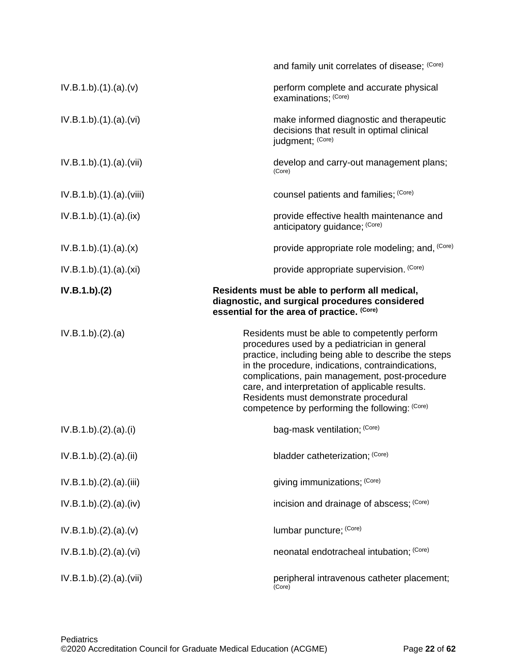|                          | and family unit correlates of disease; (Core)                                                                                                                                                                                                                                                                                                                                                              |
|--------------------------|------------------------------------------------------------------------------------------------------------------------------------------------------------------------------------------------------------------------------------------------------------------------------------------------------------------------------------------------------------------------------------------------------------|
| IV.B.1.b)(1)(a)(v)       | perform complete and accurate physical<br>examinations; (Core)                                                                                                                                                                                                                                                                                                                                             |
| IV.B.1.b)(1)(a)(vi)      | make informed diagnostic and therapeutic<br>decisions that result in optimal clinical<br>judgment; (Core)                                                                                                                                                                                                                                                                                                  |
| IV.B.1.b)(1)(a)(vii)     | develop and carry-out management plans;<br>(Core)                                                                                                                                                                                                                                                                                                                                                          |
| IV.B.1.b).(1).(a).(viii) | counsel patients and families; (Core)                                                                                                                                                                                                                                                                                                                                                                      |
| IV.B.1.b)(1)(a)(ix)      | provide effective health maintenance and<br>anticipatory guidance; (Core)                                                                                                                                                                                                                                                                                                                                  |
| IV.B.1.b)(1)(a)(x)       | provide appropriate role modeling; and, (Core)                                                                                                                                                                                                                                                                                                                                                             |
| IV.B.1.b)(1)(a)(xi)      | provide appropriate supervision. (Core)                                                                                                                                                                                                                                                                                                                                                                    |
| IV.B.1.b)(2)             | Residents must be able to perform all medical,<br>diagnostic, and surgical procedures considered<br>essential for the area of practice. (Core)                                                                                                                                                                                                                                                             |
| IV.B.1.b)(2).(a)         | Residents must be able to competently perform<br>procedures used by a pediatrician in general<br>practice, including being able to describe the steps<br>in the procedure, indications, contraindications,<br>complications, pain management, post-procedure<br>care, and interpretation of applicable results.<br>Residents must demonstrate procedural<br>competence by performing the following: (Core) |
|                          |                                                                                                                                                                                                                                                                                                                                                                                                            |
| IV.B.1.b)(2).(a)(i)      | bag-mask ventilation; (Core)                                                                                                                                                                                                                                                                                                                                                                               |
| IV.B.1.b)(2).(a)(ii)     | bladder catheterization; (Core)                                                                                                                                                                                                                                                                                                                                                                            |
| IV.B.1.b)(2).(a)(iii)    | giving immunizations; (Core)                                                                                                                                                                                                                                                                                                                                                                               |
| IV.B.1.b)(2).(a)(iv)     | incision and drainage of abscess; (Core)                                                                                                                                                                                                                                                                                                                                                                   |
| IV.B.1.b)(2).(a)(v)      | lumbar puncture; (Core)                                                                                                                                                                                                                                                                                                                                                                                    |
| IV.B.1.b)(2).(a)(vi)     | neonatal endotracheal intubation; (Core)                                                                                                                                                                                                                                                                                                                                                                   |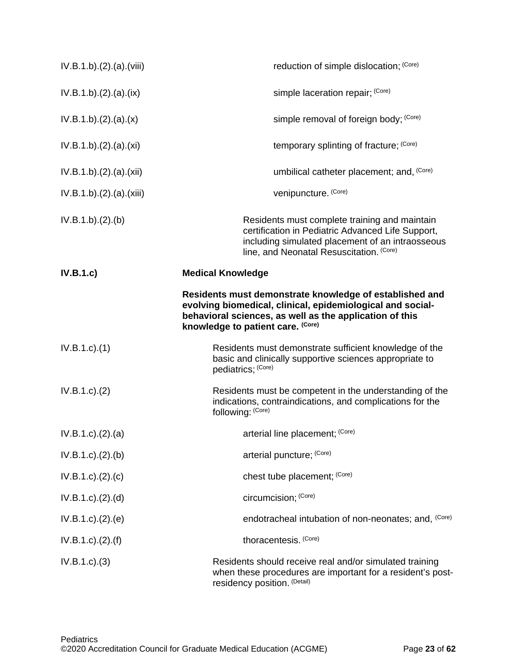| IV.B.1.b)(2).(a)(viii)      | reduction of simple dislocation; (Core)                                                                                                                                                                               |
|-----------------------------|-----------------------------------------------------------------------------------------------------------------------------------------------------------------------------------------------------------------------|
| IV.B.1.b)(2).(a)(ix)        | simple laceration repair; (Core)                                                                                                                                                                                      |
| IV.B.1.b)(2).(a)(x)         | simple removal of foreign body; (Core)                                                                                                                                                                                |
| IV.B.1.b)(2).(a).(xi)       | temporary splinting of fracture; (Core)                                                                                                                                                                               |
| IV.B.1.b)(2).(a).(xii)      | umbilical catheter placement; and, (Core)                                                                                                                                                                             |
| IV.B.1.b)(2).(a).(xiii)     | venipuncture. (Core)                                                                                                                                                                                                  |
| IV.B.1.b)(2).(b)            | Residents must complete training and maintain<br>certification in Pediatric Advanced Life Support,<br>including simulated placement of an intraosseous<br>line, and Neonatal Resuscitation. (Core)                    |
| IV.B.1.c                    | <b>Medical Knowledge</b>                                                                                                                                                                                              |
|                             | Residents must demonstrate knowledge of established and<br>evolving biomedical, clinical, epidemiological and social-<br>behavioral sciences, as well as the application of this<br>knowledge to patient care. (Core) |
| $IV.B.1.c$ ). $(1)$         | Residents must demonstrate sufficient knowledge of the<br>basic and clinically supportive sciences appropriate to<br>pediatrics; (Core)                                                                               |
| IV.B.1.c. (2)               | Residents must be competent in the understanding of the<br>indications, contraindications, and complications for the<br>following: (Core)                                                                             |
| $IV.B.1.c$ ) $(2).(a)$      | arterial line placement; (Core)                                                                                                                                                                                       |
| IV.B.1.c). (2). (b)         | arterial puncture; (Core)                                                                                                                                                                                             |
| IV.B.1.c). (2). (c)         | chest tube placement; (Core)                                                                                                                                                                                          |
| IV.B.1.c). (2). (d)         | circumcision; (Core)                                                                                                                                                                                                  |
| IV.B.1.c). (2). (e)         | endotracheal intubation of non-neonates; and, <sup>(Core)</sup>                                                                                                                                                       |
| $IV.B.1.c$ ). $(2)$ . $(f)$ | thoracentesis. (Core)                                                                                                                                                                                                 |
| IV.B.1.c.)(3)               | Residents should receive real and/or simulated training<br>when these procedures are important for a resident's post-<br>residency position. (Detail)                                                                 |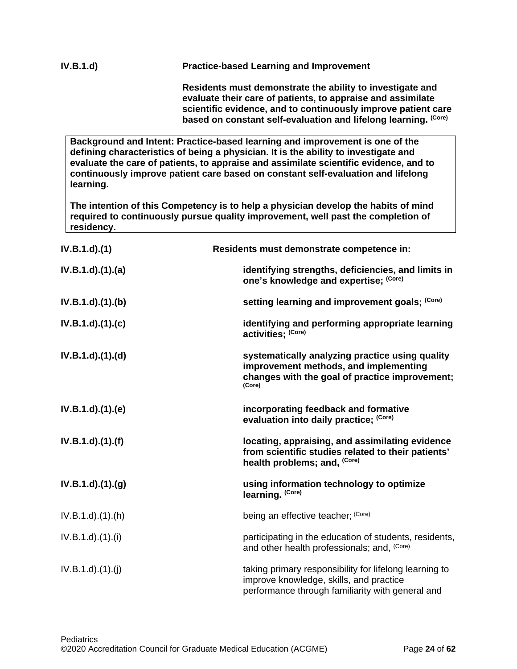**evaluate their care of patients, to appraise and assimilate scientific evidence, and to continuously improve patient care based on constant self-evaluation and lifelong learning. (Core)**

**Background and Intent: Practice-based learning and improvement is one of the defining characteristics of being a physician. It is the ability to investigate and evaluate the care of patients, to appraise and assimilate scientific evidence, and to continuously improve patient care based on constant self-evaluation and lifelong learning.**

**The intention of this Competency is to help a physician develop the habits of mind required to continuously pursue quality improvement, well past the completion of residency.**

| $IV.B.1.d$ $(1)$      | Residents must demonstrate competence in:                                                                                                             |
|-----------------------|-------------------------------------------------------------------------------------------------------------------------------------------------------|
| IV.B.1.d)(1)(a)       | identifying strengths, deficiencies, and limits in<br>one's knowledge and expertise; (Core)                                                           |
| IV.B.1.d)(1)(b)       | setting learning and improvement goals; (Core)                                                                                                        |
| $IV.B.1.d$ $.(1).(c)$ | identifying and performing appropriate learning<br>activities; (Core)                                                                                 |
| IV.B.1.d).(1).(d)     | systematically analyzing practice using quality<br>improvement methods, and implementing<br>changes with the goal of practice improvement;<br>(Core)  |
| IV.B.1.d)(1)(e)       | incorporating feedback and formative<br>evaluation into daily practice; (Core)                                                                        |
| $IV.B.1.d$ $.(1).(f)$ | locating, appraising, and assimilating evidence<br>from scientific studies related to their patients'<br>health problems; and, (Core)                 |
| $IV.B.1.d$ $.(1).(g)$ | using information technology to optimize<br>learning. (Core)                                                                                          |
| $IV.B.1.d$ $.(1).(h)$ | being an effective teacher; (Core)                                                                                                                    |
| IV.B.1.d)(1)(i)       | participating in the education of students, residents,<br>and other health professionals; and, (Core)                                                 |
| IV.B.1.d)(1.(j))      | taking primary responsibility for lifelong learning to<br>improve knowledge, skills, and practice<br>performance through familiarity with general and |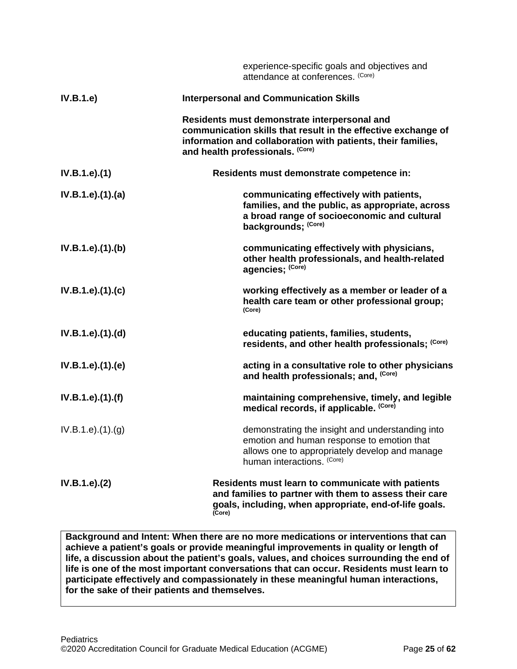|                   | experience-specific goals and objectives and<br>attendance at conferences. (Core)                                                                                                                                 |
|-------------------|-------------------------------------------------------------------------------------------------------------------------------------------------------------------------------------------------------------------|
| IV.B.1.e)         | <b>Interpersonal and Communication Skills</b>                                                                                                                                                                     |
|                   | Residents must demonstrate interpersonal and<br>communication skills that result in the effective exchange of<br>information and collaboration with patients, their families,<br>and health professionals. (Core) |
| IV.B.1.e).(1)     | Residents must demonstrate competence in:                                                                                                                                                                         |
| IV.B.1.e).(1).(a) | communicating effectively with patients,<br>families, and the public, as appropriate, across<br>a broad range of socioeconomic and cultural<br>backgrounds; (Core)                                                |
| IV.B.1.e).(1).(b) | communicating effectively with physicians,<br>other health professionals, and health-related<br>agencies; (Core)                                                                                                  |
| IV.B.1.e).(1).(c) | working effectively as a member or leader of a<br>health care team or other professional group;<br>(Core)                                                                                                         |
| IV.B.1.e).(1).(d) | educating patients, families, students,<br>residents, and other health professionals; (Core)                                                                                                                      |
| IV.B.1.e).(1).(e) | acting in a consultative role to other physicians<br>and health professionals; and, (Core)                                                                                                                        |
| IV.B.1.e).(1).(f) | maintaining comprehensive, timely, and legible<br>medical records, if applicable. (Core)                                                                                                                          |
| IV.B.1.e).(1).(g) | demonstrating the insight and understanding into<br>emotion and human response to emotion that<br>allows one to appropriately develop and manage<br>human interactions. (Core)                                    |
| IV.B.1.e). (2)    | Residents must learn to communicate with patients<br>and families to partner with them to assess their care<br>goals, including, when appropriate, end-of-life goals.<br>(Core)                                   |

**Background and Intent: When there are no more medications or interventions that can achieve a patient's goals or provide meaningful improvements in quality or length of life, a discussion about the patient's goals, values, and choices surrounding the end of life is one of the most important conversations that can occur. Residents must learn to participate effectively and compassionately in these meaningful human interactions, for the sake of their patients and themselves.**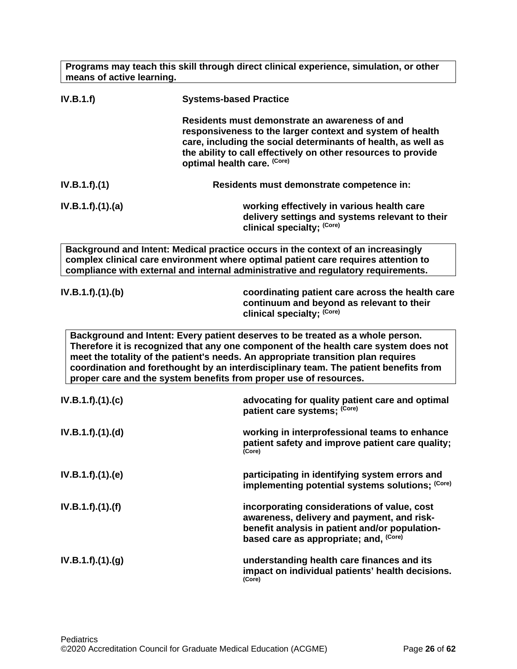**IV.B.1.f) Systems-based Practice Residents must demonstrate an awareness of and responsiveness to the larger context and system of health care, including the social determinants of health, as well as the ability to call effectively on other resources to provide optimal health care. (Core) IV.B.1.f).(1) Residents must demonstrate competence in: IV.B.1.f).(1).(a) working effectively in various health care delivery settings and systems relevant to their clinical specialty; (Core) Background and Intent: Medical practice occurs in the context of an increasingly complex clinical care environment where optimal patient care requires attention to compliance with external and internal administrative and regulatory requirements. IV.B.1.f).(1).(b) coordinating patient care across the health care continuum and beyond as relevant to their clinical specialty; (Core) Background and Intent: Every patient deserves to be treated as a whole person. Therefore it is recognized that any one component of the health care system does not meet the totality of the patient's needs. An appropriate transition plan requires coordination and forethought by an interdisciplinary team. The patient benefits from proper care and the system benefits from proper use of resources. IV.B.1.f).(1).(c) advocating for quality patient care and optimal patient care systems; (Core) IV.B.1.f).(1).(d) working in interprofessional teams to enhance patient safety and improve patient care quality; (Core) IV.B.1.f).(1).(e) participating in identifying system errors and implementing potential systems solutions; (Core) IV.B.1.f).(1).(f) incorporating considerations of value, cost awareness, delivery and payment, and riskbenefit analysis in patient and/or populationbased care as appropriate; and, (Core) IV.B.1.f).(1).(g) understanding health care finances and its impact on individual patients' health decisions. (Core)**

**Programs may teach this skill through direct clinical experience, simulation, or other** 

**means of active learning.**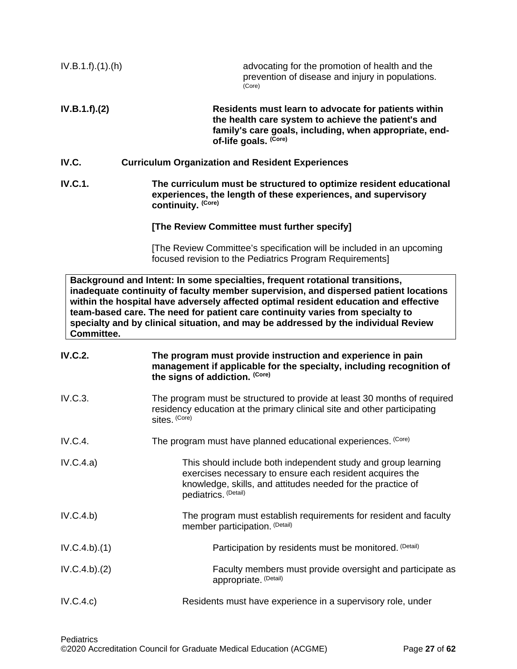<span id="page-26-0"></span>

| IV.B.1.f).(1).(h) | advocating for the promotion of health and the<br>prevention of disease and injury in populations.<br>(Core)                                                                                                                                                                                                                                                                                                                         |
|-------------------|--------------------------------------------------------------------------------------------------------------------------------------------------------------------------------------------------------------------------------------------------------------------------------------------------------------------------------------------------------------------------------------------------------------------------------------|
| IV.B.1.f).(2)     | Residents must learn to advocate for patients within<br>the health care system to achieve the patient's and<br>family's care goals, including, when appropriate, end-<br>of-life goals. (Core)                                                                                                                                                                                                                                       |
| IV.C.             | <b>Curriculum Organization and Resident Experiences</b>                                                                                                                                                                                                                                                                                                                                                                              |
| <b>IV.C.1.</b>    | The curriculum must be structured to optimize resident educational<br>experiences, the length of these experiences, and supervisory<br>continuity. (Core)                                                                                                                                                                                                                                                                            |
|                   | [The Review Committee must further specify]                                                                                                                                                                                                                                                                                                                                                                                          |
|                   | [The Review Committee's specification will be included in an upcoming<br>focused revision to the Pediatrics Program Requirements]                                                                                                                                                                                                                                                                                                    |
| Committee.        | Background and Intent: In some specialties, frequent rotational transitions,<br>inadequate continuity of faculty member supervision, and dispersed patient locations<br>within the hospital have adversely affected optimal resident education and effective<br>team-based care. The need for patient care continuity varies from specialty to<br>specialty and by clinical situation, and may be addressed by the individual Review |
| <b>IV.C.2.</b>    | The program must provide instruction and experience in pain<br>management if applicable for the specialty, including recognition of<br>the signs of addiction. (Core)                                                                                                                                                                                                                                                                |
| IV.C.3.           | The program must be structured to provide at least 30 months of required<br>residency education at the primary clinical site and other participating<br>sites. (Core)                                                                                                                                                                                                                                                                |
| IV.C.4.           | The program must have planned educational experiences. (Core)                                                                                                                                                                                                                                                                                                                                                                        |
| IV.C.4.a)         | This should include both independent study and group learning<br>exercises necessary to ensure each resident acquires the<br>knowledge, skills, and attitudes needed for the practice of<br>pediatrics. (Detail)                                                                                                                                                                                                                     |
| IV.C.4.b)         | The program must establish requirements for resident and faculty<br>member participation. (Detail)                                                                                                                                                                                                                                                                                                                                   |
| IV.C.4.b)(1)      | Participation by residents must be monitored. (Detail)                                                                                                                                                                                                                                                                                                                                                                               |
| IV.C.4.b)(2)      | Faculty members must provide oversight and participate as<br>appropriate. (Detail)                                                                                                                                                                                                                                                                                                                                                   |
| IV.C.4.c)         | Residents must have experience in a supervisory role, under                                                                                                                                                                                                                                                                                                                                                                          |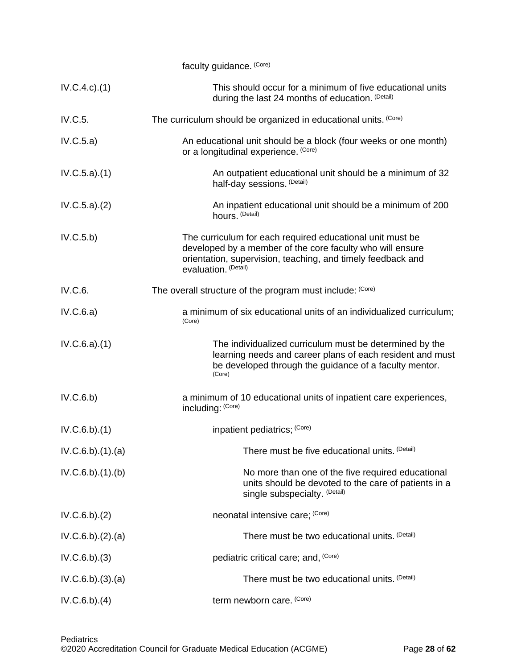|                  | faculty guidance. (Core)                                                                                                                                                                                      |
|------------------|---------------------------------------------------------------------------------------------------------------------------------------------------------------------------------------------------------------|
| IV.C.4.c.1()     | This should occur for a minimum of five educational units<br>during the last 24 months of education. (Detail)                                                                                                 |
| IV.C.5.          | The curriculum should be organized in educational units. (Core)                                                                                                                                               |
| IV.C.5.a)        | An educational unit should be a block (four weeks or one month)<br>or a longitudinal experience. (Core)                                                                                                       |
| IV.C.5.a)(1)     | An outpatient educational unit should be a minimum of 32<br>half-day sessions. (Detail)                                                                                                                       |
| IV.C.5.a)(2)     | An inpatient educational unit should be a minimum of 200<br>hours. (Detail)                                                                                                                                   |
| IV.C.5.b)        | The curriculum for each required educational unit must be<br>developed by a member of the core faculty who will ensure<br>orientation, supervision, teaching, and timely feedback and<br>evaluation. (Detail) |
| IV.C.6.          | The overall structure of the program must include: (Core)                                                                                                                                                     |
| IV.C.6.a)        | a minimum of six educational units of an individualized curriculum;<br>(Core)                                                                                                                                 |
| IV.C.6.a)(1)     | The individualized curriculum must be determined by the<br>learning needs and career plans of each resident and must<br>be developed through the guidance of a faculty mentor.<br>(Core)                      |
| IV.C.6.b)        | a minimum of 10 educational units of inpatient care experiences,<br>including: (Core)                                                                                                                         |
| IV.C.6.b)(1)     | inpatient pediatrics; (Core)                                                                                                                                                                                  |
| IV.C.6.b)(1).(a) | There must be five educational units. (Detail)                                                                                                                                                                |
| IV.C.6.b)(1)(b)  | No more than one of the five required educational<br>units should be devoted to the care of patients in a<br>single subspecialty. (Detail)                                                                    |
| IV.C.6.b)(2)     | neonatal intensive care; (Core)                                                                                                                                                                               |
| IV.C.6.b)(2).(a) | There must be two educational units. (Detail)                                                                                                                                                                 |
| $IV.C.6.b).$ (3) | pediatric critical care; and, (Core)                                                                                                                                                                          |
| IV.C.6.b)(3)(a)  | There must be two educational units. (Detail)                                                                                                                                                                 |
| IV.C.6.b)(4)     | term newborn care. (Core)                                                                                                                                                                                     |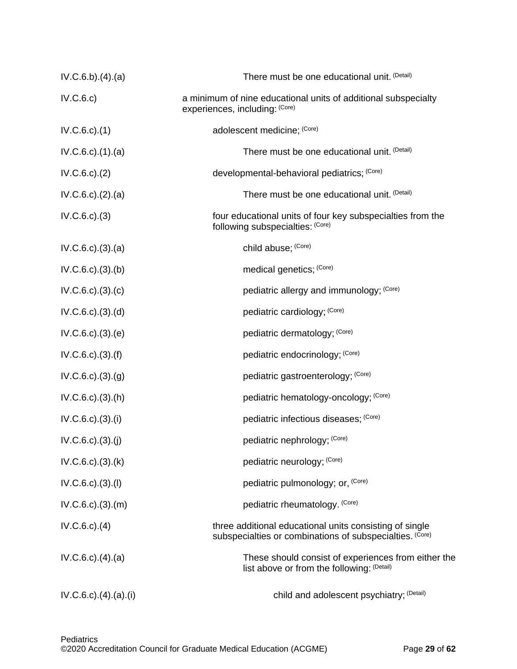| IV.C.6.b)(4).(a)           | There must be one educational unit. (Detail)                                                                        |
|----------------------------|---------------------------------------------------------------------------------------------------------------------|
| IV.C.6.c)                  | a minimum of nine educational units of additional subspecialty<br>experiences, including: (Core)                    |
| $IV.C.6.c$ . $(1)$         | adolescent medicine; (Core)                                                                                         |
| $IV.C.6.c$ . $(1).$ $(a)$  | There must be one educational unit. (Detail)                                                                        |
| $IV.C.6.c$ . $(2)$         | developmental-behavioral pediatrics; (Core)                                                                         |
| $IV.C.6.c$ . $(2).$ $(a)$  | There must be one educational unit. (Detail)                                                                        |
| IV.C.6.c.)(3)              | four educational units of four key subspecialties from the<br>following subspecialties: (Core)                      |
| $IV.C.6.c$ . $(3)$ . $(a)$ | child abuse; (Core)                                                                                                 |
| $IV.C.6.c$ . $(3).$ (b)    | medical genetics; (Core)                                                                                            |
| $IV.C.6.c$ . $(3).$ $(c)$  | pediatric allergy and immunology; (Core)                                                                            |
| $IV.C.6.c$ . $(3).$ $(d)$  | pediatric cardiology; (Core)                                                                                        |
| $IV.C.6.c).$ $(3).$ $(e)$  | pediatric dermatology; (Core)                                                                                       |
| $IV.C.6.c$ . $(3).(f)$     | pediatric endocrinology; (Core)                                                                                     |
| IV.C.6.c.)(3)(g)           | pediatric gastroenterology; (Core)                                                                                  |
| $IV.C.6.c$ . $(3)$ . $(h)$ | pediatric hematology-oncology; (Core)                                                                               |
| $IV.C.6.c$ . $(3).$ (i)    | pediatric infectious diseases; (Core)                                                                               |
| $IV.C.6.c).$ (3).(j)       | pediatric nephrology; (Core)                                                                                        |
| $IV.C.6.c$ . $(3)$ . $(k)$ | pediatric neurology; (Core)                                                                                         |
| $IV.C.6.c$ . $(3)$ . $(l)$ | pediatric pulmonology; or, (Core)                                                                                   |
| $IV.C.6.c$ . $(3).(m)$     | pediatric rheumatology. (Core)                                                                                      |
| $IV.C.6.c$ . $(4)$         | three additional educational units consisting of single<br>subspecialties or combinations of subspecialties. (Core) |
| $IV.C.6.c$ . $(4)$ . $(a)$ | These should consist of experiences from either the<br>list above or from the following: (Detail)                   |
| $IV.C.6.c$ ) $(4)(a)(i)$   | child and adolescent psychiatry; (Detail)                                                                           |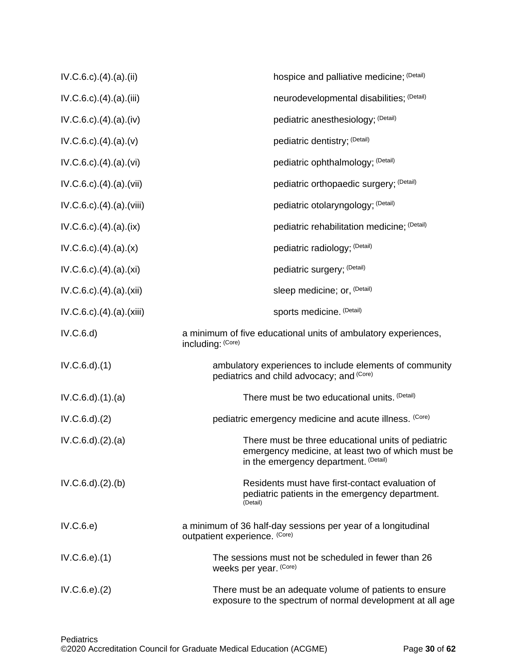| $IV.C.6.c$ . $(4)$ . $(a)$ . $(ii)$   | hospice and palliative medicine; (Detail)                                                                                                        |
|---------------------------------------|--------------------------------------------------------------------------------------------------------------------------------------------------|
| $IV.C.6.c$ . $(4)$ . $(a)$ . $(iii)$  | neurodevelopmental disabilities; (Detail)                                                                                                        |
| $IV.C.6.c$ . $(4)$ . $(a)$ . $(iv)$   | pediatric anesthesiology; (Detail)                                                                                                               |
| $IV.C.6.c$ . $(4)$ . $(a)$ . $(v)$    | pediatric dentistry; (Detail)                                                                                                                    |
| $IV.C.6.c$ . $(4)$ . $(a)$ . $(vi)$   | pediatric ophthalmology; (Detail)                                                                                                                |
| $IV.C.6.c$ . $(4)$ . $(a)$ . $(vii)$  | pediatric orthopaedic surgery; (Detail)                                                                                                          |
| $IV.C.6.c$ . $(4)$ . $(a)$ . $(viii)$ | pediatric otolaryngology; (Detail)                                                                                                               |
| $IV.C.6.c$ . $(4)$ . $(a)$ . $(ix)$   | pediatric rehabilitation medicine; (Detail)                                                                                                      |
| $IV.C.6.c$ . $(4)$ . $(a)$ . $(x)$    | pediatric radiology; (Detail)                                                                                                                    |
| $IV.C.6.c$ . $(4)$ . $(a)$ . $(xi)$   | pediatric surgery; (Detail)                                                                                                                      |
| $IV.C.6.c$ . $(4)$ . $(a)$ . $(xii)$  | sleep medicine; or, <sup>(Detail)</sup>                                                                                                          |
| IV.C.6.c).(4).(a).(xiii)              | sports medicine. (Detail)                                                                                                                        |
| IV.C.6.d)                             | a minimum of five educational units of ambulatory experiences,<br>including: (Core)                                                              |
| $IV.C.6.d$ $(1)$                      | ambulatory experiences to include elements of community<br>pediatrics and child advocacy; and (Core)                                             |
| $IV.C.6.d$ $(1).$ $(a)$               | There must be two educational units. (Detail)                                                                                                    |
| $IV.C.6.d$ $(2)$                      | pediatric emergency medicine and acute illness. (Core)                                                                                           |
| $IV.C.6.d$ $(2).$ $(a)$               | There must be three educational units of pediatric<br>emergency medicine, at least two of which must be<br>in the emergency department. (Detail) |
| $IV.C.6.d$ $.(2).$ (b)                | Residents must have first-contact evaluation of<br>pediatric patients in the emergency department.<br>(Detail)                                   |
| IV.C.6.e)                             | a minimum of 36 half-day sessions per year of a longitudinal<br>outpatient experience. (Core)                                                    |
| IV.C.6.e). <sub>(1)</sub>             | The sessions must not be scheduled in fewer than 26<br>weeks per year. (Core)                                                                    |
| IV.C.6.e. (2)                         | There must be an adequate volume of patients to ensure<br>exposure to the spectrum of normal development at all age                              |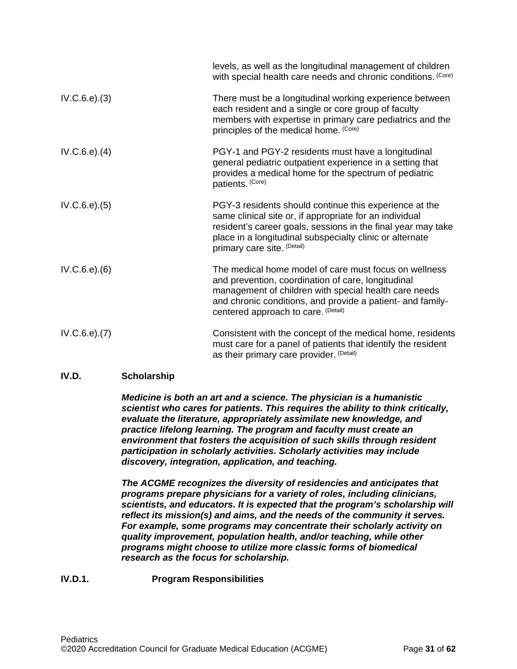|                   | levels, as well as the longitudinal management of children<br>with special health care needs and chronic conditions. (Core)                                                                                                                                                  |
|-------------------|------------------------------------------------------------------------------------------------------------------------------------------------------------------------------------------------------------------------------------------------------------------------------|
| IV.C.6.e). (3)    | There must be a longitudinal working experience between<br>each resident and a single or core group of faculty<br>members with expertise in primary care pediatrics and the<br>principles of the medical home. (Core)                                                        |
| IV.C.6.e). (4)    | PGY-1 and PGY-2 residents must have a longitudinal<br>general pediatric outpatient experience in a setting that<br>provides a medical home for the spectrum of pediatric<br>patients. (Core)                                                                                 |
| IV.C.6.e). (5)    | PGY-3 residents should continue this experience at the<br>same clinical site or, if appropriate for an individual<br>resident's career goals, sessions in the final year may take<br>place in a longitudinal subspecialty clinic or alternate<br>primary care site. (Detail) |
| IV.C.6.e). (6)    | The medical home model of care must focus on wellness<br>and prevention, coordination of care, longitudinal<br>management of children with special health care needs<br>and chronic conditions, and provide a patient- and family-<br>centered approach to care. (Detail)    |
| $IV.C.6.e$ $.(7)$ | Consistent with the concept of the medical home, residents<br>must care for a panel of patients that identify the resident<br>as their primary care provider. (Detail)                                                                                                       |

## <span id="page-30-0"></span>**IV.D. Scholarship**

*Medicine is both an art and a science. The physician is a humanistic scientist who cares for patients. This requires the ability to think critically, evaluate the literature, appropriately assimilate new knowledge, and practice lifelong learning. The program and faculty must create an environment that fosters the acquisition of such skills through resident participation in scholarly activities. Scholarly activities may include discovery, integration, application, and teaching.*

*The ACGME recognizes the diversity of residencies and anticipates that programs prepare physicians for a variety of roles, including clinicians, scientists, and educators. It is expected that the program's scholarship will reflect its mission(s) and aims, and the needs of the community it serves. For example, some programs may concentrate their scholarly activity on quality improvement, population health, and/or teaching, while other programs might choose to utilize more classic forms of biomedical research as the focus for scholarship.*

## **IV.D.1. Program Responsibilities**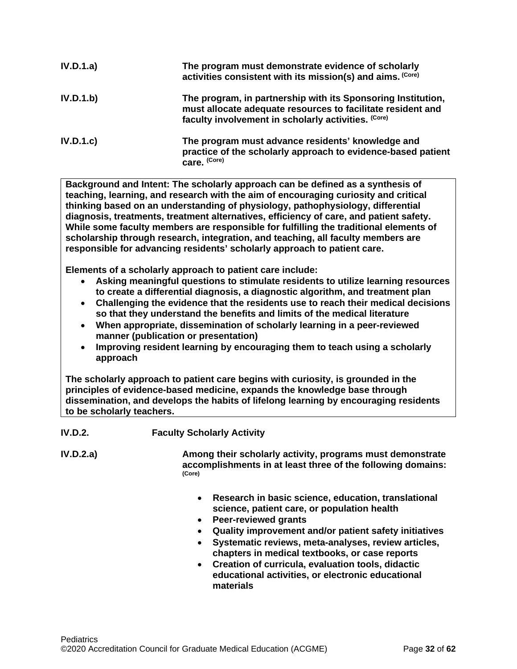| IV.D.1.a) | The program must demonstrate evidence of scholarly<br>activities consistent with its mission(s) and aims. (Core)                                                                   |
|-----------|------------------------------------------------------------------------------------------------------------------------------------------------------------------------------------|
| IV.D.1.b) | The program, in partnership with its Sponsoring Institution,<br>must allocate adequate resources to facilitate resident and<br>faculty involvement in scholarly activities. (Core) |
| IV.D.1.c  | The program must advance residents' knowledge and<br>practice of the scholarly approach to evidence-based patient<br>care. (Core)                                                  |

**Background and Intent: The scholarly approach can be defined as a synthesis of teaching, learning, and research with the aim of encouraging curiosity and critical thinking based on an understanding of physiology, pathophysiology, differential diagnosis, treatments, treatment alternatives, efficiency of care, and patient safety. While some faculty members are responsible for fulfilling the traditional elements of scholarship through research, integration, and teaching, all faculty members are responsible for advancing residents' scholarly approach to patient care.**

**Elements of a scholarly approach to patient care include:**

- **Asking meaningful questions to stimulate residents to utilize learning resources to create a differential diagnosis, a diagnostic algorithm, and treatment plan**
- **Challenging the evidence that the residents use to reach their medical decisions so that they understand the benefits and limits of the medical literature**
- **When appropriate, dissemination of scholarly learning in a peer-reviewed manner (publication or presentation)**
- **Improving resident learning by encouraging them to teach using a scholarly approach**

**The scholarly approach to patient care begins with curiosity, is grounded in the principles of evidence-based medicine, expands the knowledge base through dissemination, and develops the habits of lifelong learning by encouraging residents to be scholarly teachers.**

**IV.D.2. Faculty Scholarly Activity**

**IV.D.2.a) Among their scholarly activity, programs must demonstrate accomplishments in at least three of the following domains: (Core)**

- **Research in basic science, education, translational science, patient care, or population health**
- **Peer-reviewed grants**
- **Quality improvement and/or patient safety initiatives**
- **Systematic reviews, meta-analyses, review articles, chapters in medical textbooks, or case reports**
- **Creation of curricula, evaluation tools, didactic educational activities, or electronic educational materials**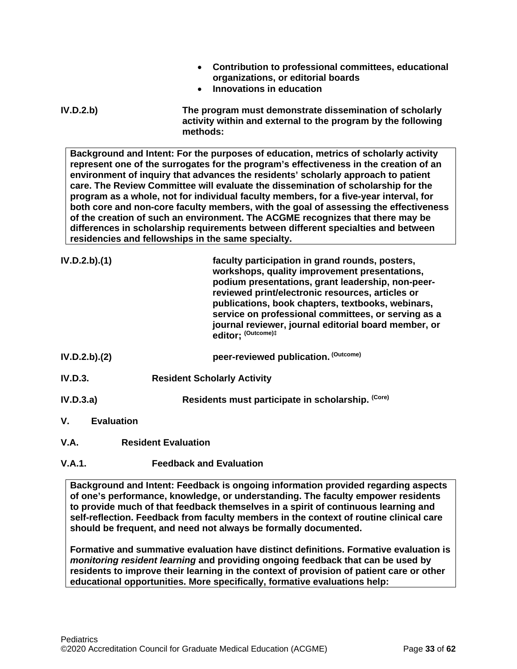- **Contribution to professional committees, educational organizations, or editorial boards**
- **Innovations in education**
- **IV.D.2.b) The program must demonstrate dissemination of scholarly activity within and external to the program by the following methods:**

**Background and Intent: For the purposes of education, metrics of scholarly activity represent one of the surrogates for the program's effectiveness in the creation of an environment of inquiry that advances the residents' scholarly approach to patient care. The Review Committee will evaluate the dissemination of scholarship for the program as a whole, not for individual faculty members, for a five-year interval, for both core and non-core faculty members, with the goal of assessing the effectiveness of the creation of such an environment. The ACGME recognizes that there may be differences in scholarship requirements between different specialties and between residencies and fellowships in the same specialty.**

|                | IV.D.2.b).(1)     | faculty participation in grand rounds, posters,<br>workshops, quality improvement presentations,<br>podium presentations, grant leadership, non-peer-<br>reviewed print/electronic resources, articles or<br>publications, book chapters, textbooks, webinars,<br>service on professional committees, or serving as a<br>journal reviewer, journal editorial board member, or<br>editor; (Outcome)# |
|----------------|-------------------|-----------------------------------------------------------------------------------------------------------------------------------------------------------------------------------------------------------------------------------------------------------------------------------------------------------------------------------------------------------------------------------------------------|
|                | IV.D.2.b).(2)     | peer-reviewed publication. (Outcome)                                                                                                                                                                                                                                                                                                                                                                |
| <b>IV.D.3.</b> |                   | <b>Resident Scholarly Activity</b>                                                                                                                                                                                                                                                                                                                                                                  |
| IV.D.3.a)      |                   | Residents must participate in scholarship. (Core)                                                                                                                                                                                                                                                                                                                                                   |
| V.             | <b>Evaluation</b> |                                                                                                                                                                                                                                                                                                                                                                                                     |

<span id="page-32-1"></span><span id="page-32-0"></span>**V.A. Resident Evaluation**

# **V.A.1. Feedback and Evaluation**

**Background and Intent: Feedback is ongoing information provided regarding aspects of one's performance, knowledge, or understanding. The faculty empower residents to provide much of that feedback themselves in a spirit of continuous learning and self-reflection. Feedback from faculty members in the context of routine clinical care should be frequent, and need not always be formally documented.**

**Formative and summative evaluation have distinct definitions. Formative evaluation is**  *monitoring resident learning* **and providing ongoing feedback that can be used by residents to improve their learning in the context of provision of patient care or other educational opportunities. More specifically, formative evaluations help:**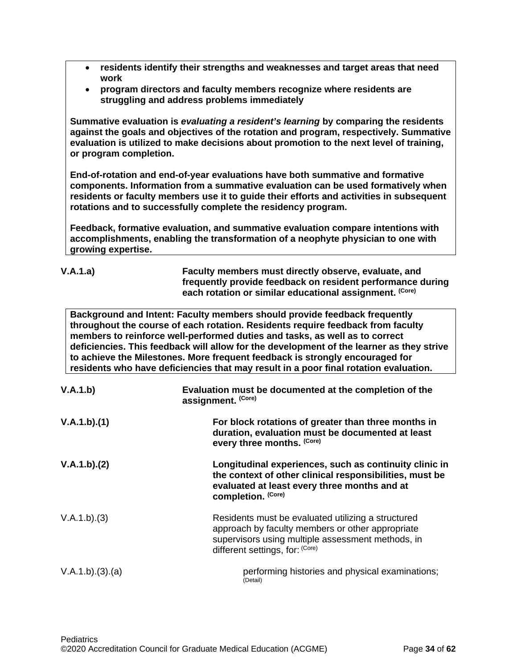| residents identify their strengths and weaknesses and target areas that need |  |
|------------------------------------------------------------------------------|--|
| work                                                                         |  |

• **program directors and faculty members recognize where residents are struggling and address problems immediately**

**Summative evaluation is** *evaluating a resident's learning* **by comparing the residents against the goals and objectives of the rotation and program, respectively. Summative evaluation is utilized to make decisions about promotion to the next level of training, or program completion.**

**End-of-rotation and end-of-year evaluations have both summative and formative components. Information from a summative evaluation can be used formatively when residents or faculty members use it to guide their efforts and activities in subsequent rotations and to successfully complete the residency program.**

**Feedback, formative evaluation, and summative evaluation compare intentions with accomplishments, enabling the transformation of a neophyte physician to one with growing expertise.** 

|  | л.<br>., |  | . 0<br>J. |
|--|----------|--|-----------|
|--|----------|--|-----------|

**V.A.1.a) Faculty members must directly observe, evaluate, and frequently provide feedback on resident performance during each rotation or similar educational assignment. (Core)**

**Background and Intent: Faculty members should provide feedback frequently throughout the course of each rotation. Residents require feedback from faculty members to reinforce well-performed duties and tasks, as well as to correct deficiencies. This feedback will allow for the development of the learner as they strive to achieve the Milestones. More frequent feedback is strongly encouraged for residents who have deficiencies that may result in a poor final rotation evaluation.**

| V.A.1.b)       | Evaluation must be documented at the completion of the<br>assignment. (Core)                                                                                                                   |  |
|----------------|------------------------------------------------------------------------------------------------------------------------------------------------------------------------------------------------|--|
| V.A.1.b)(1)    | For block rotations of greater than three months in<br>duration, evaluation must be documented at least<br>every three months. (Core)                                                          |  |
| V.A.1.b)(2)    | Longitudinal experiences, such as continuity clinic in<br>the context of other clinical responsibilities, must be<br>evaluated at least every three months and at<br>completion. (Core)        |  |
| V.A.1.b)(3)    | Residents must be evaluated utilizing a structured<br>approach by faculty members or other appropriate<br>supervisors using multiple assessment methods, in<br>different settings, for: (Core) |  |
| V.A.1.b)(3)(a) | performing histories and physical examinations;<br>(Detail)                                                                                                                                    |  |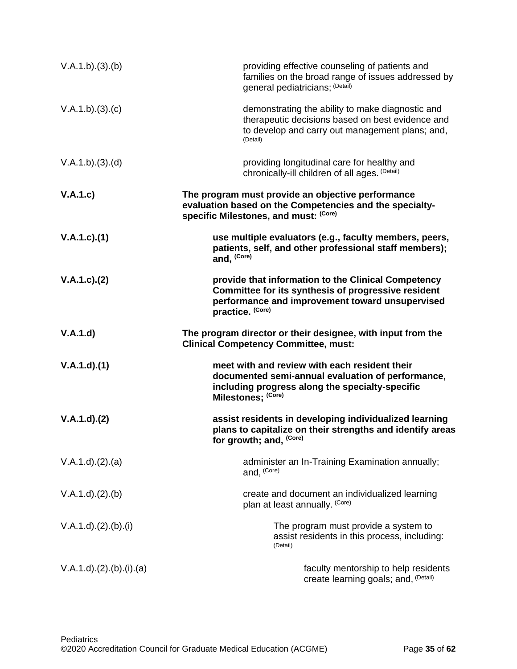| V.A.1.b)(3)(b)                 | providing effective counseling of patients and<br>families on the broad range of issues addressed by<br>general pediatricians; (Detail)                                           |
|--------------------------------|-----------------------------------------------------------------------------------------------------------------------------------------------------------------------------------|
| V.A.1.b)(3)(c)                 | demonstrating the ability to make diagnostic and<br>therapeutic decisions based on best evidence and<br>to develop and carry out management plans; and,<br>(Detail)               |
| V.A.1.b)(3)(d)                 | providing longitudinal care for healthy and<br>chronically-ill children of all ages. (Detail)                                                                                     |
| V.A.1.c)                       | The program must provide an objective performance<br>evaluation based on the Competencies and the specialty-<br>specific Milestones, and must: (Core)                             |
| V.A.1.c)(1)                    | use multiple evaluators (e.g., faculty members, peers,<br>patients, self, and other professional staff members);<br>and, (Core)                                                   |
| V.A.1.c). (2)                  | provide that information to the Clinical Competency<br>Committee for its synthesis of progressive resident<br>performance and improvement toward unsupervised<br>practice. (Core) |
| V.A.1.d)                       | The program director or their designee, with input from the<br><b>Clinical Competency Committee, must:</b>                                                                        |
| V.A.1.d)(1)                    | meet with and review with each resident their<br>documented semi-annual evaluation of performance,<br>including progress along the specialty-specific<br>Milestones; (Core)       |
| V.A.1.d)(2)                    | assist residents in developing individualized learning<br>plans to capitalize on their strengths and identify areas<br>for growth; and, (Core)                                    |
|                                |                                                                                                                                                                                   |
| V.A.1.d.)(2).(a)               | administer an In-Training Examination annually;<br>and, (Core)                                                                                                                    |
| V.A.1.d)(2).(b)                | create and document an individualized learning<br>plan at least annually. (Core)                                                                                                  |
| V.A.1.d.2.2(b). <sub>(i)</sub> | The program must provide a system to<br>assist residents in this process, including:<br>(Detail)                                                                                  |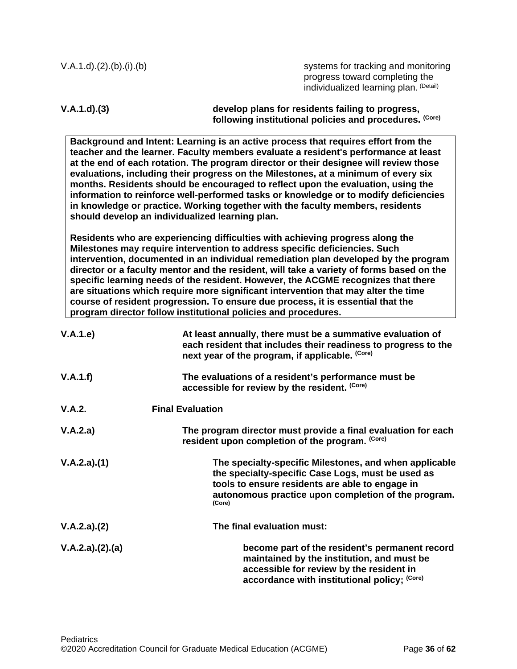| $V.A.1.d.2.2(b).(b).(b)$                        | systems for tracking and monitoring<br>progress toward completing the<br>individualized learning plan. (Detail)                                                                                                                                                                                                                                                                                                                                                                                                                                                                                                                                                                |
|-------------------------------------------------|--------------------------------------------------------------------------------------------------------------------------------------------------------------------------------------------------------------------------------------------------------------------------------------------------------------------------------------------------------------------------------------------------------------------------------------------------------------------------------------------------------------------------------------------------------------------------------------------------------------------------------------------------------------------------------|
| V.A.1.d)(3)                                     | develop plans for residents failing to progress,<br>following institutional policies and procedures. (Core)                                                                                                                                                                                                                                                                                                                                                                                                                                                                                                                                                                    |
| should develop an individualized learning plan. | Background and Intent: Learning is an active process that requires effort from the<br>teacher and the learner. Faculty members evaluate a resident's performance at least<br>at the end of each rotation. The program director or their designee will review those<br>evaluations, including their progress on the Milestones, at a minimum of every six<br>months. Residents should be encouraged to reflect upon the evaluation, using the<br>information to reinforce well-performed tasks or knowledge or to modify deficiencies<br>in knowledge or practice. Working together with the faculty members, residents                                                         |
|                                                 | Residents who are experiencing difficulties with achieving progress along the<br>Milestones may require intervention to address specific deficiencies. Such<br>intervention, documented in an individual remediation plan developed by the program<br>director or a faculty mentor and the resident, will take a variety of forms based on the<br>specific learning needs of the resident. However, the ACGME recognizes that there<br>are situations which require more significant intervention that may alter the time<br>course of resident progression. To ensure due process, it is essential that the<br>program director follow institutional policies and procedures. |
| V.A.1.e)                                        | At least annually, there must be a summative evaluation of<br>each resident that includes their readiness to progress to the<br>next year of the program, if applicable. (Core)                                                                                                                                                                                                                                                                                                                                                                                                                                                                                                |
| V.A.1.f)                                        | The evaluations of a resident's performance must be<br>accessible for review by the resident. (Core)                                                                                                                                                                                                                                                                                                                                                                                                                                                                                                                                                                           |
| V.A.2.                                          | <b>Final Evaluation</b>                                                                                                                                                                                                                                                                                                                                                                                                                                                                                                                                                                                                                                                        |
| V.A.2.a)                                        | The program director must provide a final evaluation for each<br>resident upon completion of the program. (Core)                                                                                                                                                                                                                                                                                                                                                                                                                                                                                                                                                               |
| V.A.2.a)(1)                                     | The specialty-specific Milestones, and when applicable<br>the specialty-specific Case Logs, must be used as<br>tools to ensure residents are able to engage in<br>autonomous practice upon completion of the program.<br>(Core)                                                                                                                                                                                                                                                                                                                                                                                                                                                |
| V.A.2.a)(2)                                     | The final evaluation must:                                                                                                                                                                                                                                                                                                                                                                                                                                                                                                                                                                                                                                                     |
| V.A.2.a)(2).(a)                                 | become part of the resident's permanent record<br>maintained by the institution, and must be<br>accessible for review by the resident in<br>accordance with institutional policy; (Core)                                                                                                                                                                                                                                                                                                                                                                                                                                                                                       |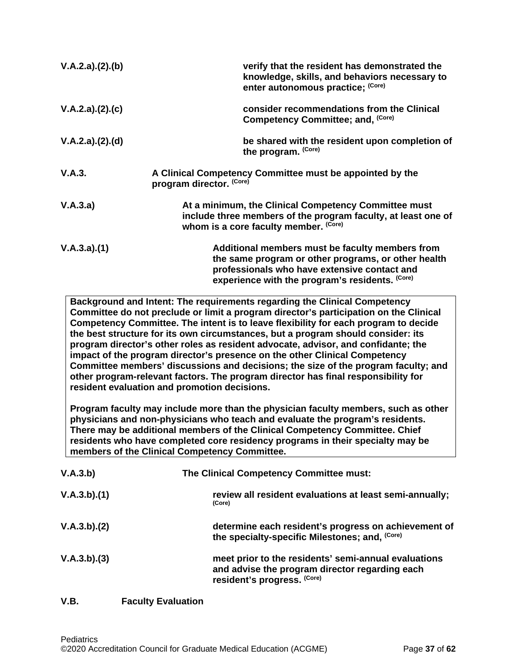| V.A.2.a)(2).(b) | verify that the resident has demonstrated the<br>knowledge, skills, and behaviors necessary to<br>enter autonomous practice; (Core)                                                                       |
|-----------------|-----------------------------------------------------------------------------------------------------------------------------------------------------------------------------------------------------------|
| V.A.2.a)(2).(c) | consider recommendations from the Clinical<br>Competency Committee; and, (Core)                                                                                                                           |
| V.A.2.a)(2).(d) | be shared with the resident upon completion of<br>the program. (Core)                                                                                                                                     |
| V.A.3.          | A Clinical Competency Committee must be appointed by the<br>program director. (Core)                                                                                                                      |
| V.A.3.a)        | At a minimum, the Clinical Competency Committee must<br>include three members of the program faculty, at least one of<br>whom is a core faculty member. (Core)                                            |
| V.A.3.a)(1)     | Additional members must be faculty members from<br>the same program or other programs, or other health<br>professionals who have extensive contact and<br>experience with the program's residents. (Core) |

**Background and Intent: The requirements regarding the Clinical Competency Committee do not preclude or limit a program director's participation on the Clinical Competency Committee. The intent is to leave flexibility for each program to decide the best structure for its own circumstances, but a program should consider: its program director's other roles as resident advocate, advisor, and confidante; the impact of the program director's presence on the other Clinical Competency Committee members' discussions and decisions; the size of the program faculty; and other program-relevant factors. The program director has final responsibility for resident evaluation and promotion decisions.**

**Program faculty may include more than the physician faculty members, such as other physicians and non-physicians who teach and evaluate the program's residents. There may be additional members of the Clinical Competency Committee. Chief residents who have completed core residency programs in their specialty may be members of the Clinical Competency Committee.** 

| V.A.3.b)    | The Clinical Competency Committee must:                                                                                               |  |
|-------------|---------------------------------------------------------------------------------------------------------------------------------------|--|
| V.A.3.b)(1) | review all resident evaluations at least semi-annually;<br>(Core)                                                                     |  |
| V.A.3.b)(2) | determine each resident's progress on achievement of<br>the specialty-specific Milestones; and, (Core)                                |  |
| V.A.3.b)(3) | meet prior to the residents' semi-annual evaluations<br>and advise the program director regarding each<br>resident's progress. (Core) |  |

# <span id="page-36-0"></span>**V.B. Faculty Evaluation**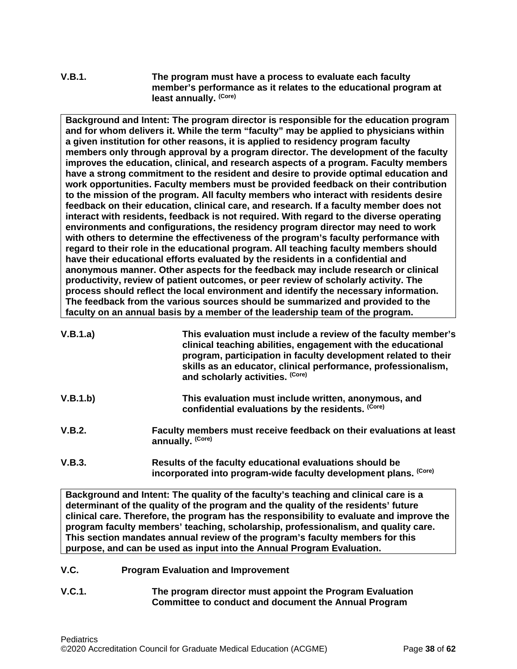**V.B.1. The program must have a process to evaluate each faculty member's performance as it relates to the educational program at least annually. (Core)**

**Background and Intent: The program director is responsible for the education program and for whom delivers it. While the term "faculty" may be applied to physicians within a given institution for other reasons, it is applied to residency program faculty members only through approval by a program director. The development of the faculty improves the education, clinical, and research aspects of a program. Faculty members have a strong commitment to the resident and desire to provide optimal education and work opportunities. Faculty members must be provided feedback on their contribution to the mission of the program. All faculty members who interact with residents desire feedback on their education, clinical care, and research. If a faculty member does not interact with residents, feedback is not required. With regard to the diverse operating environments and configurations, the residency program director may need to work with others to determine the effectiveness of the program's faculty performance with regard to their role in the educational program. All teaching faculty members should have their educational efforts evaluated by the residents in a confidential and anonymous manner. Other aspects for the feedback may include research or clinical productivity, review of patient outcomes, or peer review of scholarly activity. The process should reflect the local environment and identify the necessary information. The feedback from the various sources should be summarized and provided to the faculty on an annual basis by a member of the leadership team of the program.**

| V.B.1.a) | This evaluation must include a review of the faculty member's<br>clinical teaching abilities, engagement with the educational<br>program, participation in faculty development related to their<br>skills as an educator, clinical performance, professionalism,<br>and scholarly activities. (Core) |
|----------|------------------------------------------------------------------------------------------------------------------------------------------------------------------------------------------------------------------------------------------------------------------------------------------------------|
| V.B.1.b) | This evaluation must include written, anonymous, and<br>confidential evaluations by the residents. (Core)                                                                                                                                                                                            |
| V.B.2.   | Faculty members must receive feedback on their evaluations at least<br>annually. (Core)                                                                                                                                                                                                              |

**V.B.3. Results of the faculty educational evaluations should be incorporated into program-wide faculty development plans. (Core)**

**Background and Intent: The quality of the faculty's teaching and clinical care is a determinant of the quality of the program and the quality of the residents' future clinical care. Therefore, the program has the responsibility to evaluate and improve the program faculty members' teaching, scholarship, professionalism, and quality care. This section mandates annual review of the program's faculty members for this purpose, and can be used as input into the Annual Program Evaluation.**

- <span id="page-37-0"></span>**V.C. Program Evaluation and Improvement**
- **V.C.1. The program director must appoint the Program Evaluation Committee to conduct and document the Annual Program**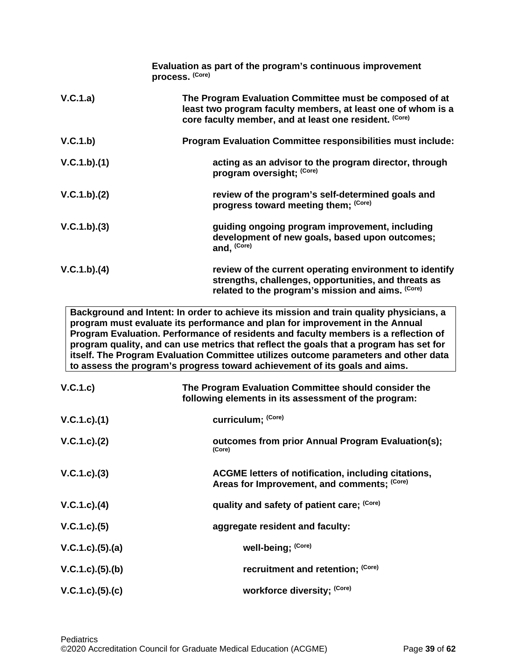|             | Evaluation as part of the program's continuous improvement<br>process. (Core)                                                                                                                                                                                                                                                                                                                                                                                                                                                |
|-------------|------------------------------------------------------------------------------------------------------------------------------------------------------------------------------------------------------------------------------------------------------------------------------------------------------------------------------------------------------------------------------------------------------------------------------------------------------------------------------------------------------------------------------|
| V.C.1.a)    | The Program Evaluation Committee must be composed of at<br>least two program faculty members, at least one of whom is a<br>core faculty member, and at least one resident. (Core)                                                                                                                                                                                                                                                                                                                                            |
| V.C.1.b)    | Program Evaluation Committee responsibilities must include:                                                                                                                                                                                                                                                                                                                                                                                                                                                                  |
| V.C.1.b)(1) | acting as an advisor to the program director, through<br>program oversight; (Core)                                                                                                                                                                                                                                                                                                                                                                                                                                           |
| V.C.1.b)(2) | review of the program's self-determined goals and<br>progress toward meeting them; (Core)                                                                                                                                                                                                                                                                                                                                                                                                                                    |
| V.C.1.b)(3) | guiding ongoing program improvement, including<br>development of new goals, based upon outcomes;<br>and, (Core)                                                                                                                                                                                                                                                                                                                                                                                                              |
| V.C.1.b)(4) | review of the current operating environment to identify<br>strengths, challenges, opportunities, and threats as<br>related to the program's mission and aims. (Core)                                                                                                                                                                                                                                                                                                                                                         |
|             | Background and Intent: In order to achieve its mission and train quality physicians, a<br>program must evaluate its performance and plan for improvement in the Annual<br>Program Evaluation. Performance of residents and faculty members is a reflection of<br>program quality, and can use metrics that reflect the goals that a program has set for<br>itself. The Program Evaluation Committee utilizes outcome parameters and other data<br>to assess the program's progress toward achievement of its goals and aims. |

| V.C.1.c)          | The Program Evaluation Committee should consider the<br>following elements in its assessment of the program: |
|-------------------|--------------------------------------------------------------------------------------------------------------|
| V.C.1.c).(1)      | curriculum; (Core)                                                                                           |
| V.C.1.c). (2)     | outcomes from prior Annual Program Evaluation(s);<br>(Core)                                                  |
| $V.C.1.c).$ (3)   | ACGME letters of notification, including citations,<br>Areas for Improvement, and comments; (Core)           |
| $V.C.1.c).$ (4)   | quality and safety of patient care; (Core)                                                                   |
| V.C.1.c). (5)     | aggregate resident and faculty:                                                                              |
| V.C.1.c. (5). (a) | well-being; (Core)                                                                                           |
| V.C.1.c. (5). (b) | recruitment and retention; (Core)                                                                            |
| V.C.1.c. (5). (c) | workforce diversity; (Core)                                                                                  |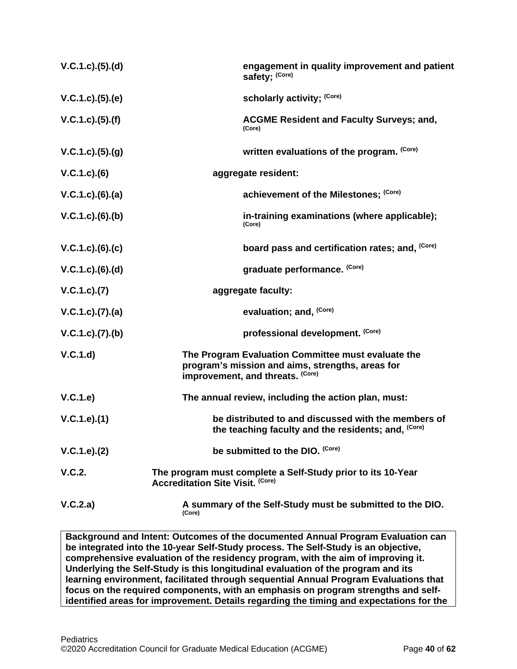| V.C.1.c. (5). (d)   | engagement in quality improvement and patient<br>safety; (Core)                                                                            |
|---------------------|--------------------------------------------------------------------------------------------------------------------------------------------|
| V.C.1.c. (5). (e)   | scholarly activity; (Core)                                                                                                                 |
| $V.C.1.c).$ (5).(f) | <b>ACGME Resident and Faculty Surveys; and,</b><br>(Core)                                                                                  |
| V.C.1.c).(5).(g)    | written evaluations of the program. (Core)                                                                                                 |
| $V.C.1.c).$ (6)     | aggregate resident:                                                                                                                        |
| $V.C.1.c).$ (6).(a) | achievement of the Milestones; (Core)                                                                                                      |
| $V.C.1.c.$ (6).(b)  | in-training examinations (where applicable);<br>(Core)                                                                                     |
| V.C.1.c). (6). (c)  | board pass and certification rates; and, (Core)                                                                                            |
| V.C.1.c).(6).(d)    | graduate performance. (Core)                                                                                                               |
| V.C.1.c). (7)       | aggregate faculty:                                                                                                                         |
| V.C.1.c. (7). (a)   | evaluation; and, (Core)                                                                                                                    |
| V.C.1.c. (7). (b)   | professional development. (Core)                                                                                                           |
| V.C.1.d             | The Program Evaluation Committee must evaluate the<br>program's mission and aims, strengths, areas for<br>improvement, and threats. (Core) |
| V.C.1.e)            | The annual review, including the action plan, must:                                                                                        |
| V.C.1.e).(1)        | be distributed to and discussed with the members of<br>the teaching faculty and the residents; and, (Core)                                 |
| V.C.1.e). (2)       | be submitted to the DIO. (Core)                                                                                                            |
| V.C.2.              | The program must complete a Self-Study prior to its 10-Year<br><b>Accreditation Site Visit. (Core)</b>                                     |
| V.C.2.a)            | A summary of the Self-Study must be submitted to the DIO.<br>(Core)                                                                        |

**Background and Intent: Outcomes of the documented Annual Program Evaluation can be integrated into the 10-year Self-Study process. The Self-Study is an objective, comprehensive evaluation of the residency program, with the aim of improving it. Underlying the Self-Study is this longitudinal evaluation of the program and its learning environment, facilitated through sequential Annual Program Evaluations that focus on the required components, with an emphasis on program strengths and selfidentified areas for improvement. Details regarding the timing and expectations for the**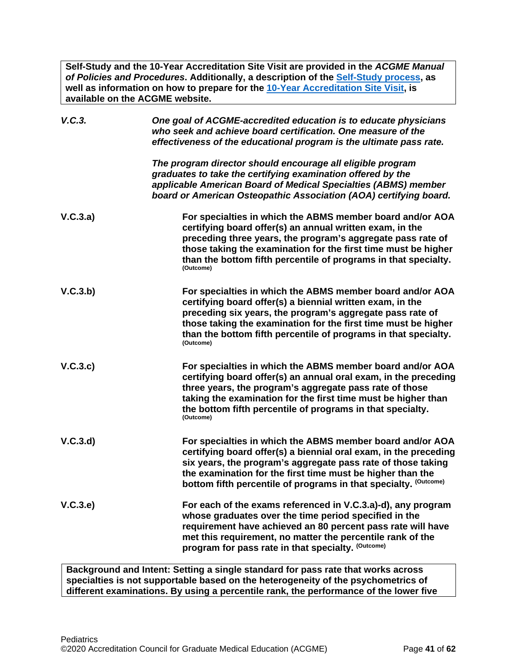**Self-Study and the 10-Year Accreditation Site Visit are provided in the** *ACGME Manual of Policies and Procedures***. Additionally, a description of the [Self-Study process,](http://acgme.org/What-We-Do/Accreditation/Self-Study) as well as information on how to prepare for the [10-Year Accreditation Site Visit,](http://www.acgme.org/What-We-Do/Accreditation/Site-Visit/Eight-Steps-to-Prepare-for-the-10-Year-Accreditation-Site-Visit) is available on the ACGME website.**

| V.C.3.   | One goal of ACGME-accredited education is to educate physicians<br>who seek and achieve board certification. One measure of the<br>effectiveness of the educational program is the ultimate pass rate.                                                                                                                                 |
|----------|----------------------------------------------------------------------------------------------------------------------------------------------------------------------------------------------------------------------------------------------------------------------------------------------------------------------------------------|
|          | The program director should encourage all eligible program<br>graduates to take the certifying examination offered by the<br>applicable American Board of Medical Specialties (ABMS) member<br>board or American Osteopathic Association (AOA) certifying board.                                                                       |
| V.C.3.a) | For specialties in which the ABMS member board and/or AOA<br>certifying board offer(s) an annual written exam, in the<br>preceding three years, the program's aggregate pass rate of<br>those taking the examination for the first time must be higher<br>than the bottom fifth percentile of programs in that specialty.<br>(Outcome) |
| V.C.3.b) | For specialties in which the ABMS member board and/or AOA<br>certifying board offer(s) a biennial written exam, in the<br>preceding six years, the program's aggregate pass rate of<br>those taking the examination for the first time must be higher<br>than the bottom fifth percentile of programs in that specialty.<br>(Outcome)  |
| V.C.3.c) | For specialties in which the ABMS member board and/or AOA<br>certifying board offer(s) an annual oral exam, in the preceding<br>three years, the program's aggregate pass rate of those<br>taking the examination for the first time must be higher than<br>the bottom fifth percentile of programs in that specialty.<br>(Outcome)    |
| V.C.3.d  | For specialties in which the ABMS member board and/or AOA<br>certifying board offer(s) a biennial oral exam, in the preceding<br>six years, the program's aggregate pass rate of those taking<br>the examination for the first time must be higher than the<br>bottom fifth percentile of programs in that specialty. (Outcome)        |
| V.C.3.e) | For each of the exams referenced in V.C.3.a)-d), any program<br>whose graduates over the time period specified in the<br>requirement have achieved an 80 percent pass rate will have<br>met this requirement, no matter the percentile rank of the<br>program for pass rate in that specialty. (Outcome)                               |

**Background and Intent: Setting a single standard for pass rate that works across specialties is not supportable based on the heterogeneity of the psychometrics of different examinations. By using a percentile rank, the performance of the lower five**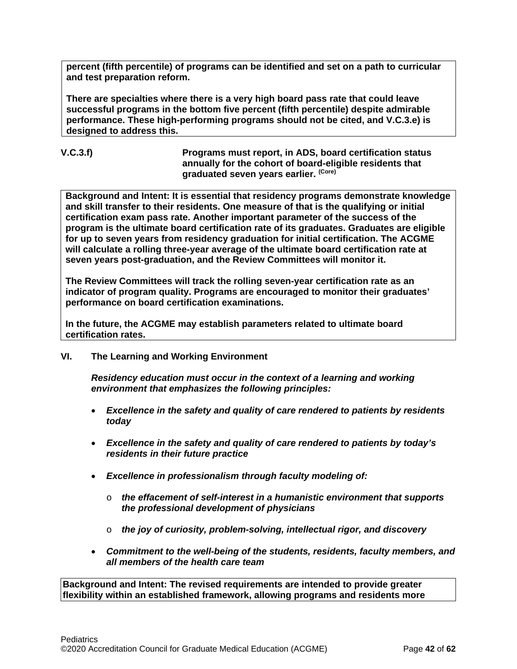**percent (fifth percentile) of programs can be identified and set on a path to curricular and test preparation reform.**

**There are specialties where there is a very high board pass rate that could leave successful programs in the bottom five percent (fifth percentile) despite admirable performance. These high-performing programs should not be cited, and V.C.3.e) is designed to address this.**

## **V.C.3.f) Programs must report, in ADS, board certification status annually for the cohort of board-eligible residents that graduated seven years earlier. (Core)**

**Background and Intent: It is essential that residency programs demonstrate knowledge and skill transfer to their residents. One measure of that is the qualifying or initial certification exam pass rate. Another important parameter of the success of the program is the ultimate board certification rate of its graduates. Graduates are eligible for up to seven years from residency graduation for initial certification. The ACGME will calculate a rolling three-year average of the ultimate board certification rate at seven years post-graduation, and the Review Committees will monitor it.**

**The Review Committees will track the rolling seven-year certification rate as an indicator of program quality. Programs are encouraged to monitor their graduates' performance on board certification examinations.**

**In the future, the ACGME may establish parameters related to ultimate board certification rates.**

## <span id="page-41-0"></span>**VI. The Learning and Working Environment**

*Residency education must occur in the context of a learning and working environment that emphasizes the following principles:*

- *Excellence in the safety and quality of care rendered to patients by residents today*
- *Excellence in the safety and quality of care rendered to patients by today's residents in their future practice*
- *Excellence in professionalism through faculty modeling of:*
	- o *the effacement of self-interest in a humanistic environment that supports the professional development of physicians*
	- o *the joy of curiosity, problem-solving, intellectual rigor, and discovery*
- *Commitment to the well-being of the students, residents, faculty members, and all members of the health care team*

**Background and Intent: The revised requirements are intended to provide greater flexibility within an established framework, allowing programs and residents more**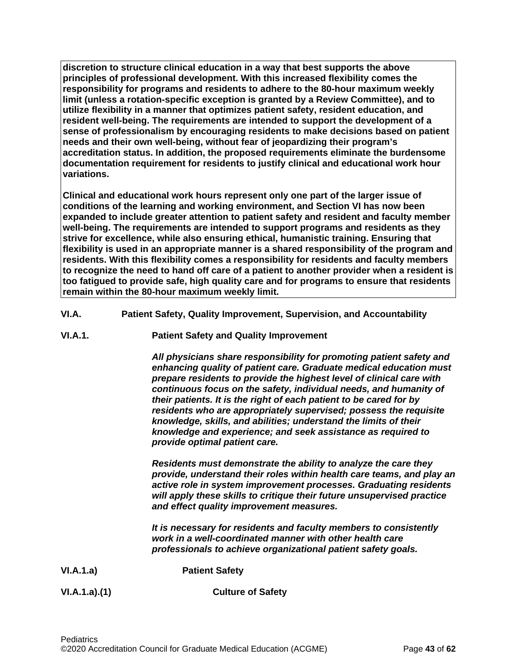**discretion to structure clinical education in a way that best supports the above principles of professional development. With this increased flexibility comes the responsibility for programs and residents to adhere to the 80-hour maximum weekly limit (unless a rotation-specific exception is granted by a Review Committee), and to utilize flexibility in a manner that optimizes patient safety, resident education, and resident well-being. The requirements are intended to support the development of a sense of professionalism by encouraging residents to make decisions based on patient needs and their own well-being, without fear of jeopardizing their program's accreditation status. In addition, the proposed requirements eliminate the burdensome documentation requirement for residents to justify clinical and educational work hour variations.**

**Clinical and educational work hours represent only one part of the larger issue of conditions of the learning and working environment, and Section VI has now been expanded to include greater attention to patient safety and resident and faculty member well-being. The requirements are intended to support programs and residents as they strive for excellence, while also ensuring ethical, humanistic training. Ensuring that flexibility is used in an appropriate manner is a shared responsibility of the program and residents. With this flexibility comes a responsibility for residents and faculty members to recognize the need to hand off care of a patient to another provider when a resident is too fatigued to provide safe, high quality care and for programs to ensure that residents remain within the 80-hour maximum weekly limit.**

- <span id="page-42-0"></span>**VI.A. Patient Safety, Quality Improvement, Supervision, and Accountability**
- **VI.A.1. Patient Safety and Quality Improvement**

*All physicians share responsibility for promoting patient safety and enhancing quality of patient care. Graduate medical education must prepare residents to provide the highest level of clinical care with continuous focus on the safety, individual needs, and humanity of their patients. It is the right of each patient to be cared for by residents who are appropriately supervised; possess the requisite knowledge, skills, and abilities; understand the limits of their knowledge and experience; and seek assistance as required to provide optimal patient care.*

*Residents must demonstrate the ability to analyze the care they provide, understand their roles within health care teams, and play an active role in system improvement processes. Graduating residents will apply these skills to critique their future unsupervised practice and effect quality improvement measures.*

*It is necessary for residents and faculty members to consistently work in a well-coordinated manner with other health care professionals to achieve organizational patient safety goals.*

**VI.A.1.a) Patient Safety**

**VI.A.1.a).(1) Culture of Safety**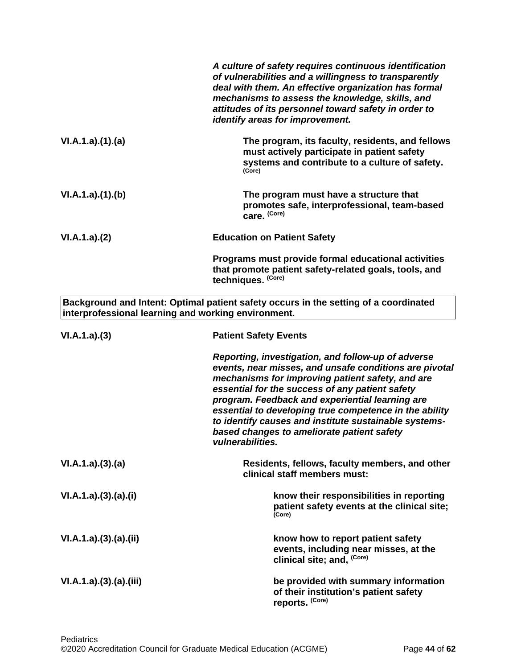|                                                     | A culture of safety requires continuous identification<br>of vulnerabilities and a willingness to transparently<br>deal with them. An effective organization has formal<br>mechanisms to assess the knowledge, skills, and<br>attitudes of its personnel toward safety in order to<br>identify areas for improvement.                                                                                                                                       |
|-----------------------------------------------------|-------------------------------------------------------------------------------------------------------------------------------------------------------------------------------------------------------------------------------------------------------------------------------------------------------------------------------------------------------------------------------------------------------------------------------------------------------------|
| VI.A.1.a)(1)(a)                                     | The program, its faculty, residents, and fellows<br>must actively participate in patient safety<br>systems and contribute to a culture of safety.<br>(Core)                                                                                                                                                                                                                                                                                                 |
| VI.A.1.a)(1)(b)                                     | The program must have a structure that<br>promotes safe, interprofessional, team-based<br>care. (Core)                                                                                                                                                                                                                                                                                                                                                      |
| VI.A.1.a)(2)                                        | <b>Education on Patient Safety</b>                                                                                                                                                                                                                                                                                                                                                                                                                          |
|                                                     | Programs must provide formal educational activities<br>that promote patient safety-related goals, tools, and<br>techniques. (Core)                                                                                                                                                                                                                                                                                                                          |
| interprofessional learning and working environment. | Background and Intent: Optimal patient safety occurs in the setting of a coordinated                                                                                                                                                                                                                                                                                                                                                                        |
| VI.A.1.a)(3)                                        | <b>Patient Safety Events</b>                                                                                                                                                                                                                                                                                                                                                                                                                                |
|                                                     | Reporting, investigation, and follow-up of adverse<br>events, near misses, and unsafe conditions are pivotal<br>mechanisms for improving patient safety, and are<br>essential for the success of any patient safety<br>program. Feedback and experiential learning are<br>essential to developing true competence in the ability<br>to identify causes and institute sustainable systems-<br>based changes to ameliorate patient safety<br>vulnerabilities. |
| VI.A.1.a)(3)(a)                                     | Residents, fellows, faculty members, and other<br>clinical staff members must:                                                                                                                                                                                                                                                                                                                                                                              |
| VI.A.1.a)(3)(a)(i)                                  | know their responsibilities in reporting<br>patient safety events at the clinical site;<br>(Core)                                                                                                                                                                                                                                                                                                                                                           |
| VI.A.1.a)(3)(a)(ii)                                 | know how to report patient safety<br>events, including near misses, at the<br>clinical site; and, (Core)                                                                                                                                                                                                                                                                                                                                                    |
| VI.A.1.a)(3)(a)(iii)                                | be provided with summary information<br>of their institution's patient safety<br>reports. (Core)                                                                                                                                                                                                                                                                                                                                                            |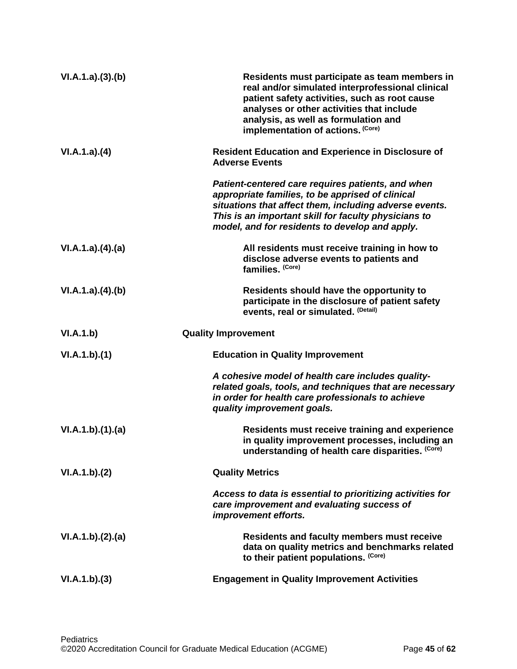| VI.A.1.a)(3)(b)  | Residents must participate as team members in<br>real and/or simulated interprofessional clinical<br>patient safety activities, such as root cause<br>analyses or other activities that include<br>analysis, as well as formulation and<br>implementation of actions. (Core) |
|------------------|------------------------------------------------------------------------------------------------------------------------------------------------------------------------------------------------------------------------------------------------------------------------------|
| VI.A.1.a)(4)     | <b>Resident Education and Experience in Disclosure of</b><br><b>Adverse Events</b>                                                                                                                                                                                           |
|                  | Patient-centered care requires patients, and when<br>appropriate families, to be apprised of clinical<br>situations that affect them, including adverse events.<br>This is an important skill for faculty physicians to<br>model, and for residents to develop and apply.    |
| VI.A.1.a)(4).(a) | All residents must receive training in how to<br>disclose adverse events to patients and<br>families. (Core)                                                                                                                                                                 |
| VI.A.1.a)(4)(b)  | Residents should have the opportunity to<br>participate in the disclosure of patient safety<br>events, real or simulated. (Detail)                                                                                                                                           |
| VI.A.1.b)        | <b>Quality Improvement</b>                                                                                                                                                                                                                                                   |
| VI.A.1.b)(1)     | <b>Education in Quality Improvement</b>                                                                                                                                                                                                                                      |
|                  | A cohesive model of health care includes quality-<br>related goals, tools, and techniques that are necessary<br>in order for health care professionals to achieve<br>quality improvement goals.                                                                              |
| VI.A.1.b)(1)(a)  | <b>Residents must receive training and experience</b><br>in quality improvement processes, including an<br>understanding of health care disparities. (Core)                                                                                                                  |
| VI.A.1.b)(2)     | <b>Quality Metrics</b>                                                                                                                                                                                                                                                       |
|                  | Access to data is essential to prioritizing activities for<br>care improvement and evaluating success of<br>improvement efforts.                                                                                                                                             |
| VI.A.1.b)(2).(a) | <b>Residents and faculty members must receive</b><br>data on quality metrics and benchmarks related<br>to their patient populations. (Core)                                                                                                                                  |
|                  |                                                                                                                                                                                                                                                                              |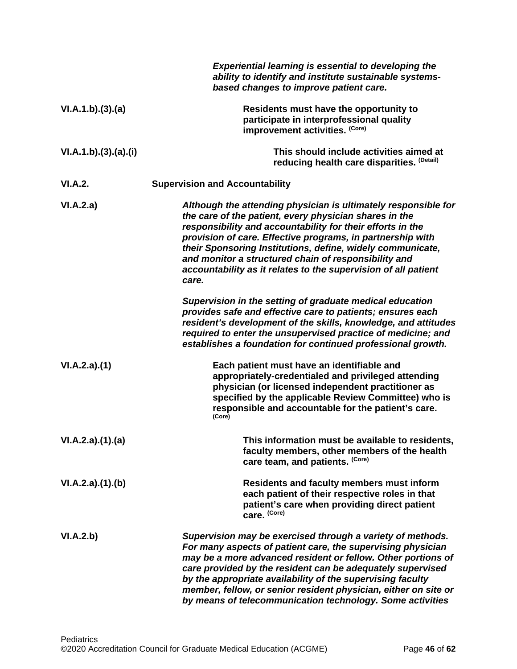|                      | <b>Experiential learning is essential to developing the</b><br>ability to identify and institute sustainable systems-<br>based changes to improve patient care.                                                                                                                                                                                                                                                                                       |
|----------------------|-------------------------------------------------------------------------------------------------------------------------------------------------------------------------------------------------------------------------------------------------------------------------------------------------------------------------------------------------------------------------------------------------------------------------------------------------------|
| VI.A.1.b)(3).(a)     | Residents must have the opportunity to<br>participate in interprofessional quality<br>improvement activities. (Core)                                                                                                                                                                                                                                                                                                                                  |
| VI.A.1.b)(3).(a).(i) | This should include activities aimed at<br>reducing health care disparities. (Detail)                                                                                                                                                                                                                                                                                                                                                                 |
| VI.A.2.              | <b>Supervision and Accountability</b>                                                                                                                                                                                                                                                                                                                                                                                                                 |
| VI.A.2.a)            | Although the attending physician is ultimately responsible for<br>the care of the patient, every physician shares in the<br>responsibility and accountability for their efforts in the<br>provision of care. Effective programs, in partnership with<br>their Sponsoring Institutions, define, widely communicate,<br>and monitor a structured chain of responsibility and<br>accountability as it relates to the supervision of all patient<br>care. |
|                      | Supervision in the setting of graduate medical education<br>provides safe and effective care to patients; ensures each<br>resident's development of the skills, knowledge, and attitudes<br>required to enter the unsupervised practice of medicine; and<br>establishes a foundation for continued professional growth.                                                                                                                               |
| VI.A.2.a)(1)         | Each patient must have an identifiable and<br>appropriately-credentialed and privileged attending<br>physician (or licensed independent practitioner as<br>specified by the applicable Review Committee) who is<br>responsible and accountable for the patient's care.<br>(Core)                                                                                                                                                                      |
| VI.A.2.a)(1).(a)     | This information must be available to residents,<br>faculty members, other members of the health<br>care team, and patients. (Core)                                                                                                                                                                                                                                                                                                                   |
| VI.A.2.a)(1)(b)      | <b>Residents and faculty members must inform</b><br>each patient of their respective roles in that<br>patient's care when providing direct patient<br>care. (Core)                                                                                                                                                                                                                                                                                    |
| VI.A.2.b)            | Supervision may be exercised through a variety of methods.<br>For many aspects of patient care, the supervising physician<br>may be a more advanced resident or fellow. Other portions of<br>care provided by the resident can be adequately supervised<br>by the appropriate availability of the supervising faculty<br>member, fellow, or senior resident physician, either on site or<br>by means of telecommunication technology. Some activities |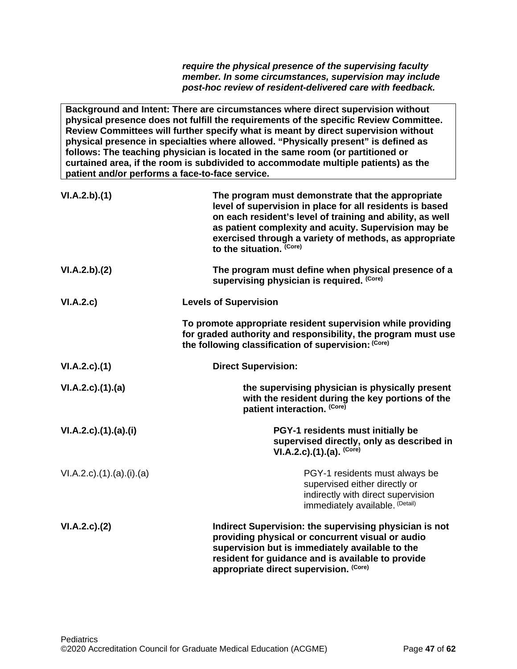*require the physical presence of the supervising faculty member. In some circumstances, supervision may include post-hoc review of resident-delivered care with feedback.* 

**Background and Intent: There are circumstances where direct supervision without physical presence does not fulfill the requirements of the specific Review Committee. Review Committees will further specify what is meant by direct supervision without physical presence in specialties where allowed. "Physically present" is defined as follows: The teaching physician is located in the same room (or partitioned or curtained area, if the room is subdivided to accommodate multiple patients) as the patient and/or performs a face-to-face service.**

| VI.A.2.b)(1)              | The program must demonstrate that the appropriate<br>level of supervision in place for all residents is based<br>on each resident's level of training and ability, as well<br>as patient complexity and acuity. Supervision may be<br>exercised through a variety of methods, as appropriate<br>to the situation. (Core) |
|---------------------------|--------------------------------------------------------------------------------------------------------------------------------------------------------------------------------------------------------------------------------------------------------------------------------------------------------------------------|
| VI.A.2.b)(2)              | The program must define when physical presence of a<br>supervising physician is required. (Core)                                                                                                                                                                                                                         |
| VI.A.2.c)                 | <b>Levels of Supervision</b>                                                                                                                                                                                                                                                                                             |
|                           | To promote appropriate resident supervision while providing<br>for graded authority and responsibility, the program must use<br>the following classification of supervision: (Core)                                                                                                                                      |
| VI.A.2.c.(1)              | <b>Direct Supervision:</b>                                                                                                                                                                                                                                                                                               |
| VI.A.2.c)(1).(a)          | the supervising physician is physically present<br>with the resident during the key portions of the<br>patient interaction. (Core)                                                                                                                                                                                       |
| VI.A.2.c)(1).(a)(i)       | PGY-1 residents must initially be<br>supervised directly, only as described in<br>$VI.A.2.c).(1).(a).$ (Core)                                                                                                                                                                                                            |
| VI.A.2.c).(1).(a).(i).(a) | PGY-1 residents must always be<br>supervised either directly or<br>indirectly with direct supervision<br>immediately available. (Detail)                                                                                                                                                                                 |
| VI.A.2.c.2(2)             | Indirect Supervision: the supervising physician is not<br>providing physical or concurrent visual or audio<br>supervision but is immediately available to the<br>resident for guidance and is available to provide<br>appropriate direct supervision. (Core)                                                             |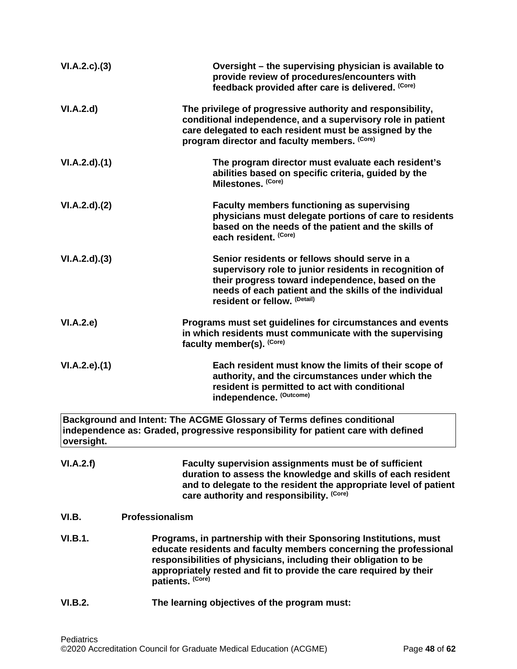<span id="page-47-0"></span>

| VI.A.2.c.(3)        | Oversight - the supervising physician is available to<br>provide review of procedures/encounters with<br>feedback provided after care is delivered. (Core)                                                                                                                                           |
|---------------------|------------------------------------------------------------------------------------------------------------------------------------------------------------------------------------------------------------------------------------------------------------------------------------------------------|
| VI.A.2.d            | The privilege of progressive authority and responsibility,<br>conditional independence, and a supervisory role in patient<br>care delegated to each resident must be assigned by the<br>program director and faculty members. (Core)                                                                 |
| VI.A.2.d)(1)        | The program director must evaluate each resident's<br>abilities based on specific criteria, guided by the<br>Milestones. (Core)                                                                                                                                                                      |
| VI.A.2.d)(2)        | <b>Faculty members functioning as supervising</b><br>physicians must delegate portions of care to residents<br>based on the needs of the patient and the skills of<br>each resident. (Core)                                                                                                          |
| VI.A.2.d)(3)        | Senior residents or fellows should serve in a<br>supervisory role to junior residents in recognition of<br>their progress toward independence, based on the<br>needs of each patient and the skills of the individual<br>resident or fellow. (Detail)                                                |
| VI.A.2.e)           | Programs must set guidelines for circumstances and events<br>in which residents must communicate with the supervising<br>faculty member(s). (Core)                                                                                                                                                   |
| $VI.A.2.e$ ). $(1)$ | Each resident must know the limits of their scope of<br>authority, and the circumstances under which the<br>resident is permitted to act with conditional<br>independence. (Outcome)                                                                                                                 |
| oversight.          | Background and Intent: The ACGME Glossary of Terms defines conditional<br>independence as: Graded, progressive responsibility for patient care with defined                                                                                                                                          |
| VI.A.2.f)           | Faculty supervision assignments must be of sufficient<br>duration to assess the knowledge and skills of each resident<br>and to delegate to the resident the appropriate level of patient<br>care authority and responsibility. (Core)                                                               |
| VI.B.               | Professionalism                                                                                                                                                                                                                                                                                      |
| VI.B.1.             | Programs, in partnership with their Sponsoring Institutions, must<br>educate residents and faculty members concerning the professional<br>responsibilities of physicians, including their obligation to be<br>appropriately rested and fit to provide the care required by their<br>patients. (Core) |
| VI.B.2.             | The learning objectives of the program must:                                                                                                                                                                                                                                                         |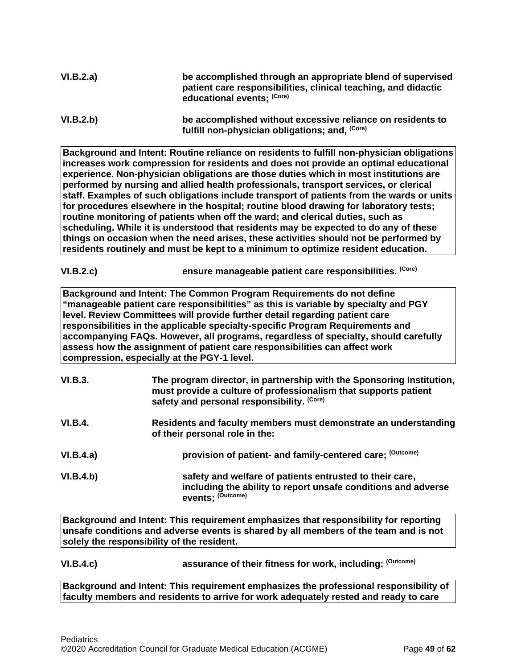| VI.B.2.a) | be accomplished through an appropriate blend of supervised<br>patient care responsibilities, clinical teaching, and didactic |
|-----------|------------------------------------------------------------------------------------------------------------------------------|
|           | educational events; (Core)                                                                                                   |
|           |                                                                                                                              |

**Background and Intent: Routine reliance on residents to fulfill non-physician obligations increases work compression for residents and does not provide an optimal educational experience. Non-physician obligations are those duties which in most institutions are performed by nursing and allied health professionals, transport services, or clerical staff. Examples of such obligations include transport of patients from the wards or units for procedures elsewhere in the hospital; routine blood drawing for laboratory tests; routine monitoring of patients when off the ward; and clerical duties, such as scheduling. While it is understood that residents may be expected to do any of these things on occasion when the need arises, these activities should not be performed by residents routinely and must be kept to a minimum to optimize resident education.**

## **VI.B.2.c) ensure manageable patient care responsibilities. (Core)**

**Background and Intent: The Common Program Requirements do not define "manageable patient care responsibilities" as this is variable by specialty and PGY level. Review Committees will provide further detail regarding patient care responsibilities in the applicable specialty-specific Program Requirements and accompanying FAQs. However, all programs, regardless of specialty, should carefully assess how the assignment of patient care responsibilities can affect work compression, especially at the PGY-1 level.**

| VI.B.3.        | The program director, in partnership with the Sponsoring Institution,<br>must provide a culture of professionalism that supports patient<br>safety and personal responsibility. (Core) |
|----------------|----------------------------------------------------------------------------------------------------------------------------------------------------------------------------------------|
| <b>VI.B.4.</b> | Residents and faculty members must demonstrate an understanding<br>of their personal role in the:                                                                                      |
| VI.B.4.a)      | provision of patient- and family-centered care; (Outcome)                                                                                                                              |
| VI.B.4.b)      | safety and welfare of patients entrusted to their care,<br>including the ability to report unsafe conditions and adverse<br>events: (Outcome)                                          |

**Background and Intent: This requirement emphasizes that responsibility for reporting unsafe conditions and adverse events is shared by all members of the team and is not solely the responsibility of the resident.**

**VI.B.4.c) assurance of their fitness for work, including: (Outcome)**

**Background and Intent: This requirement emphasizes the professional responsibility of faculty members and residents to arrive for work adequately rested and ready to care** 

**VI.B.2.b) be accomplished without excessive reliance on residents to fulfill non-physician obligations; and, (Core)**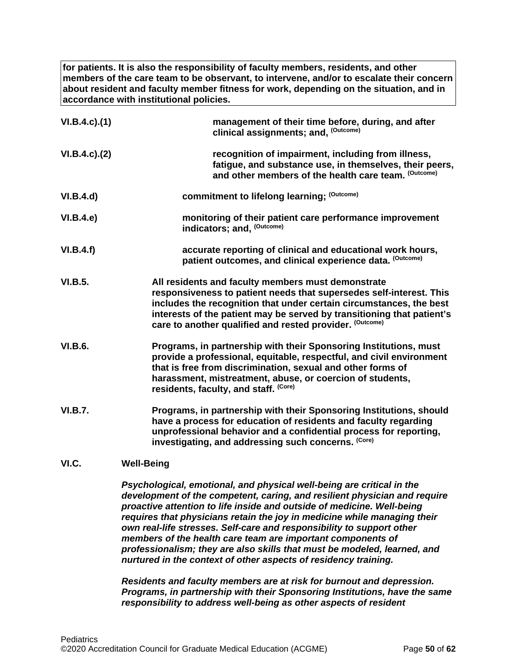**for patients. It is also the responsibility of faculty members, residents, and other members of the care team to be observant, to intervene, and/or to escalate their concern about resident and faculty member fitness for work, depending on the situation, and in accordance with institutional policies.**

| $VI.B.4.c$ ). $(1)$ | management of their time before, during, and after<br>clinical assignments; and, (Outcome)                                                                                                                                                                                                                                             |
|---------------------|----------------------------------------------------------------------------------------------------------------------------------------------------------------------------------------------------------------------------------------------------------------------------------------------------------------------------------------|
| $VI.B.4.c$ ). $(2)$ | recognition of impairment, including from illness,<br>fatigue, and substance use, in themselves, their peers,<br>and other members of the health care team. (Outcome)                                                                                                                                                                  |
| VI.B.4.d)           | commitment to lifelong learning; (Outcome)                                                                                                                                                                                                                                                                                             |
| VI.B.4.e)           | monitoring of their patient care performance improvement<br>indicators; and, (Outcome)                                                                                                                                                                                                                                                 |
| VI.B.4.f)           | accurate reporting of clinical and educational work hours,<br>patient outcomes, and clinical experience data. (Outcome)                                                                                                                                                                                                                |
| VI.B.5.             | All residents and faculty members must demonstrate<br>responsiveness to patient needs that supersedes self-interest. This<br>includes the recognition that under certain circumstances, the best<br>interests of the patient may be served by transitioning that patient's<br>care to another qualified and rested provider. (Outcome) |
| <b>VI.B.6.</b>      | Programs, in partnership with their Sponsoring Institutions, must<br>provide a professional, equitable, respectful, and civil environment<br>that is free from discrimination, sexual and other forms of<br>harassment, mistreatment, abuse, or coercion of students,<br>residents, faculty, and staff. (Core)                         |
| <b>VI.B.7.</b>      | Programs, in partnership with their Sponsoring Institutions, should<br>have a process for education of residents and faculty regarding<br>unprofessional behavior and a confidential process for reporting,<br>investigating, and addressing such concerns. (Core)                                                                     |
| VI.C.               | <b>Well-Being</b>                                                                                                                                                                                                                                                                                                                      |

<span id="page-49-0"></span>*Psychological, emotional, and physical well-being are critical in the development of the competent, caring, and resilient physician and require proactive attention to life inside and outside of medicine. Well-being requires that physicians retain the joy in medicine while managing their own real-life stresses. Self-care and responsibility to support other members of the health care team are important components of professionalism; they are also skills that must be modeled, learned, and nurtured in the context of other aspects of residency training.*

*Residents and faculty members are at risk for burnout and depression. Programs, in partnership with their Sponsoring Institutions, have the same responsibility to address well-being as other aspects of resident*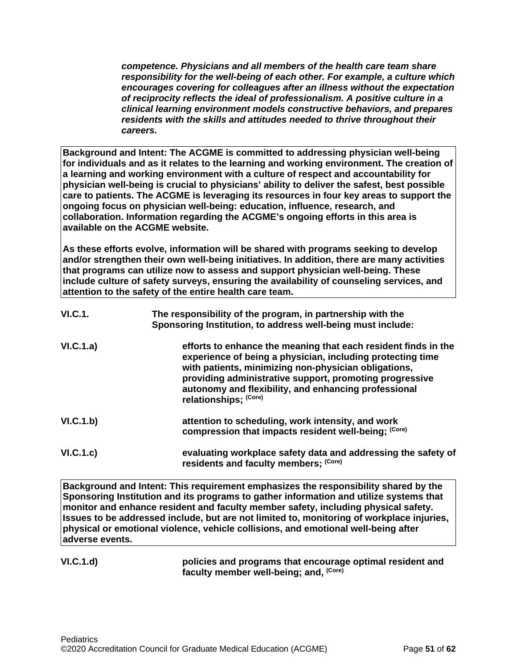*competence. Physicians and all members of the health care team share responsibility for the well-being of each other. For example, a culture which encourages covering for colleagues after an illness without the expectation of reciprocity reflects the ideal of professionalism. A positive culture in a clinical learning environment models constructive behaviors, and prepares residents with the skills and attitudes needed to thrive throughout their careers.*

**Background and Intent: The ACGME is committed to addressing physician well-being for individuals and as it relates to the learning and working environment. The creation of a learning and working environment with a culture of respect and accountability for physician well-being is crucial to physicians' ability to deliver the safest, best possible care to patients. The ACGME is leveraging its resources in four key areas to support the ongoing focus on physician well-being: education, influence, research, and collaboration. Information regarding the ACGME's ongoing efforts in this area is available on the ACGME website.**

**As these efforts evolve, information will be shared with programs seeking to develop and/or strengthen their own well-being initiatives. In addition, there are many activities that programs can utilize now to assess and support physician well-being. These include culture of safety surveys, ensuring the availability of counseling services, and attention to the safety of the entire health care team.**

| VI.C.1.   | The responsibility of the program, in partnership with the<br>Sponsoring Institution, to address well-being must include:                                                                                                                                                                                                        |
|-----------|----------------------------------------------------------------------------------------------------------------------------------------------------------------------------------------------------------------------------------------------------------------------------------------------------------------------------------|
| VI.C.1.a) | efforts to enhance the meaning that each resident finds in the<br>experience of being a physician, including protecting time<br>with patients, minimizing non-physician obligations,<br>providing administrative support, promoting progressive<br>autonomy and flexibility, and enhancing professional<br>relationships; (Core) |
| VI.C.1.b) | attention to scheduling, work intensity, and work<br>compression that impacts resident well-being; (Core)                                                                                                                                                                                                                        |
| VI.C.1.c) | evaluating workplace safety data and addressing the safety of<br>residents and faculty members; (Core)                                                                                                                                                                                                                           |

**Background and Intent: This requirement emphasizes the responsibility shared by the Sponsoring Institution and its programs to gather information and utilize systems that monitor and enhance resident and faculty member safety, including physical safety. Issues to be addressed include, but are not limited to, monitoring of workplace injuries, physical or emotional violence, vehicle collisions, and emotional well-being after adverse events.**

### **VI.C.1.d) policies and programs that encourage optimal resident and faculty member well-being; and, (Core)**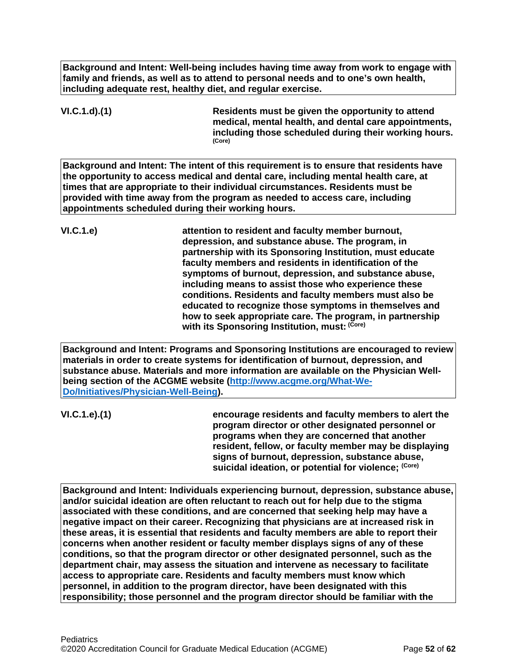**Background and Intent: Well-being includes having time away from work to engage with family and friends, as well as to attend to personal needs and to one's own health, including adequate rest, healthy diet, and regular exercise.** 

**VI.C.1.d).(1) Residents must be given the opportunity to attend medical, mental health, and dental care appointments, including those scheduled during their working hours. (Core)**

**Background and Intent: The intent of this requirement is to ensure that residents have the opportunity to access medical and dental care, including mental health care, at times that are appropriate to their individual circumstances. Residents must be provided with time away from the program as needed to access care, including appointments scheduled during their working hours.**

**VI.C.1.e) attention to resident and faculty member burnout, depression, and substance abuse. The program, in partnership with its Sponsoring Institution, must educate faculty members and residents in identification of the symptoms of burnout, depression, and substance abuse, including means to assist those who experience these conditions. Residents and faculty members must also be educated to recognize those symptoms in themselves and how to seek appropriate care. The program, in partnership with its Sponsoring Institution, must: (Core)**

**Background and Intent: Programs and Sponsoring Institutions are encouraged to review materials in order to create systems for identification of burnout, depression, and substance abuse. Materials and more information are available on the Physician Wellbeing section of the ACGME website [\(http://www.acgme.org/What-We-](http://www.acgme.org/What-We-Do/Initiatives/Physician-Well-Being)[Do/Initiatives/Physician-Well-Being\)](http://www.acgme.org/What-We-Do/Initiatives/Physician-Well-Being).**

**VI.C.1.e).(1) encourage residents and faculty members to alert the program director or other designated personnel or programs when they are concerned that another resident, fellow, or faculty member may be displaying signs of burnout, depression, substance abuse, suicidal ideation, or potential for violence; (Core)**

**Background and Intent: Individuals experiencing burnout, depression, substance abuse, and/or suicidal ideation are often reluctant to reach out for help due to the stigma associated with these conditions, and are concerned that seeking help may have a negative impact on their career. Recognizing that physicians are at increased risk in these areas, it is essential that residents and faculty members are able to report their concerns when another resident or faculty member displays signs of any of these conditions, so that the program director or other designated personnel, such as the department chair, may assess the situation and intervene as necessary to facilitate access to appropriate care. Residents and faculty members must know which personnel, in addition to the program director, have been designated with this responsibility; those personnel and the program director should be familiar with the**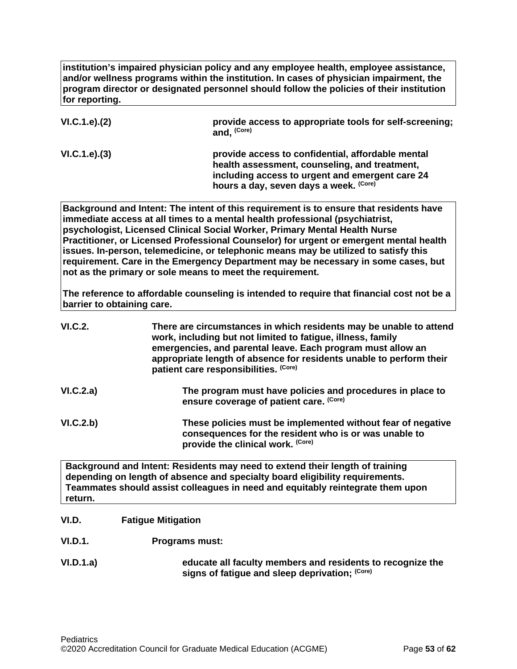**institution's impaired physician policy and any employee health, employee assistance, and/or wellness programs within the institution. In cases of physician impairment, the program director or designated personnel should follow the policies of their institution for reporting.**

| VI.C.1.e). (2) | provide access to appropriate tools for self-screening;<br>and, <sup>(Core)</sup>                                                                                                               |
|----------------|-------------------------------------------------------------------------------------------------------------------------------------------------------------------------------------------------|
| VI.C.1.e). (3) | provide access to confidential, affordable mental<br>health assessment, counseling, and treatment,<br>including access to urgent and emergent care 24<br>hours a day, seven days a week. (Core) |

**Background and Intent: The intent of this requirement is to ensure that residents have immediate access at all times to a mental health professional (psychiatrist, psychologist, Licensed Clinical Social Worker, Primary Mental Health Nurse Practitioner, or Licensed Professional Counselor) for urgent or emergent mental health issues. In-person, telemedicine, or telephonic means may be utilized to satisfy this requirement. Care in the Emergency Department may be necessary in some cases, but not as the primary or sole means to meet the requirement.**

**The reference to affordable counseling is intended to require that financial cost not be a barrier to obtaining care.**

| <b>VI.C.2.</b> | There are circumstances in which residents may be unable to attend<br>work, including but not limited to fatigue, illness, family<br>emergencies, and parental leave. Each program must allow an<br>appropriate length of absence for residents unable to perform their<br>patient care responsibilities. (Core) |
|----------------|------------------------------------------------------------------------------------------------------------------------------------------------------------------------------------------------------------------------------------------------------------------------------------------------------------------|
| VI.C.2.a)      | The program must have policies and procedures in place to<br>ensure coverage of patient care. (Core)                                                                                                                                                                                                             |
| VI.C.2.b)      | These policies must be implemented without fear of negative<br>consequences for the resident who is or was unable to<br>provide the clinical work. (Core)                                                                                                                                                        |
|                | Background and Intent: Residents may need to extend their length of training                                                                                                                                                                                                                                     |

**Background and Intent: Residents may need to extend their length of training depending on length of absence and specialty board eligibility requirements. Teammates should assist colleagues in need and equitably reintegrate them upon return.**

## <span id="page-52-0"></span>**VI.D. Fatigue Mitigation**

- **VI.D.1. Programs must:**
- **VI.D.1.a) educate all faculty members and residents to recognize the signs of fatigue and sleep deprivation; (Core)**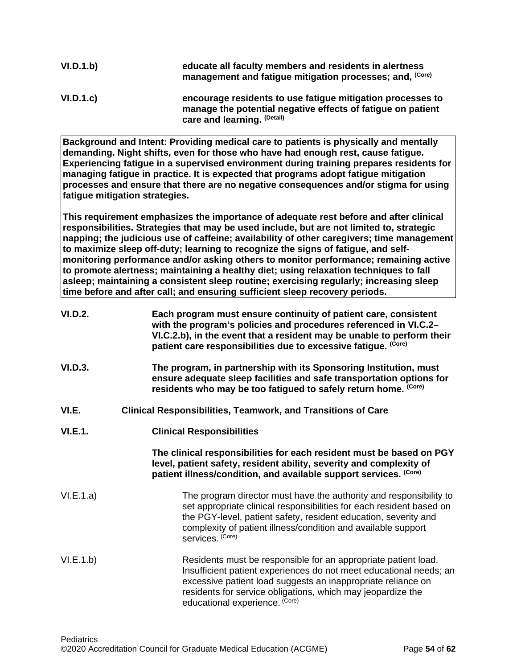| VI.D.1.b) | educate all faculty members and residents in alertness<br>management and fatigue mitigation processes; and, (Core)                                       |
|-----------|----------------------------------------------------------------------------------------------------------------------------------------------------------|
| VI.D.1.c  | encourage residents to use fatigue mitigation processes to<br>manage the potential negative effects of fatigue on patient<br>care and learning. (Detail) |

**Background and Intent: Providing medical care to patients is physically and mentally demanding. Night shifts, even for those who have had enough rest, cause fatigue. Experiencing fatigue in a supervised environment during training prepares residents for managing fatigue in practice. It is expected that programs adopt fatigue mitigation processes and ensure that there are no negative consequences and/or stigma for using fatigue mitigation strategies.**

**This requirement emphasizes the importance of adequate rest before and after clinical responsibilities. Strategies that may be used include, but are not limited to, strategic napping; the judicious use of caffeine; availability of other caregivers; time management to maximize sleep off-duty; learning to recognize the signs of fatigue, and selfmonitoring performance and/or asking others to monitor performance; remaining active to promote alertness; maintaining a healthy diet; using relaxation techniques to fall asleep; maintaining a consistent sleep routine; exercising regularly; increasing sleep time before and after call; and ensuring sufficient sleep recovery periods.**

<span id="page-53-0"></span>

| <b>VI.D.2.</b> | Each program must ensure continuity of patient care, consistent<br>with the program's policies and procedures referenced in VI.C.2-<br>VI.C.2.b), in the event that a resident may be unable to perform their<br>patient care responsibilities due to excessive fatigue. (Core)                       |
|----------------|-------------------------------------------------------------------------------------------------------------------------------------------------------------------------------------------------------------------------------------------------------------------------------------------------------|
| VI.D.3.        | The program, in partnership with its Sponsoring Institution, must<br>ensure adequate sleep facilities and safe transportation options for<br>residents who may be too fatigued to safely return home. (Core)                                                                                          |
| VI.E.          | <b>Clinical Responsibilities, Teamwork, and Transitions of Care</b>                                                                                                                                                                                                                                   |
| VI.E.1.        | <b>Clinical Responsibilities</b>                                                                                                                                                                                                                                                                      |
|                | The clinical responsibilities for each resident must be based on PGY<br>level, patient safety, resident ability, severity and complexity of<br>patient illness/condition, and available support services. (Core)                                                                                      |
| VI.E.1.a)      | The program director must have the authority and responsibility to<br>set appropriate clinical responsibilities for each resident based on<br>the PGY-level, patient safety, resident education, severity and<br>complexity of patient illness/condition and available support<br>services. (Core)    |
| VI.E.1.b)      | Residents must be responsible for an appropriate patient load.<br>Insufficient patient experiences do not meet educational needs; an<br>excessive patient load suggests an inappropriate reliance on<br>residents for service obligations, which may jeopardize the<br>educational experience. (Core) |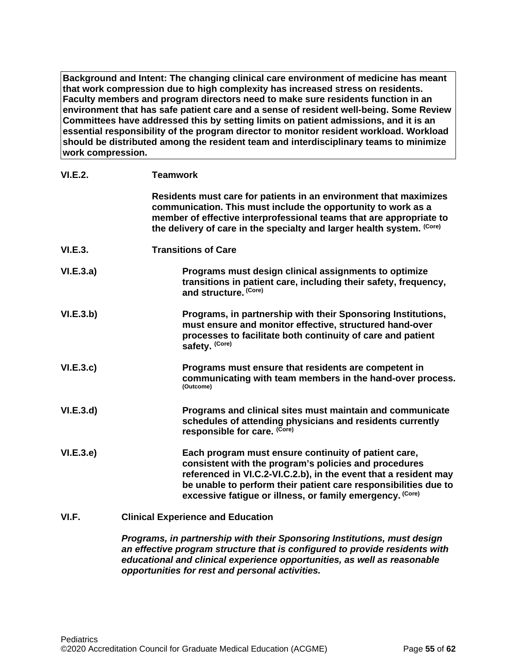**Background and Intent: The changing clinical care environment of medicine has meant that work compression due to high complexity has increased stress on residents. Faculty members and program directors need to make sure residents function in an environment that has safe patient care and a sense of resident well-being. Some Review Committees have addressed this by setting limits on patient admissions, and it is an essential responsibility of the program director to monitor resident workload. Workload should be distributed among the resident team and interdisciplinary teams to minimize work compression.**

| <b>VI.E.2.</b> | <b>Teamwork</b>                                                                                                                                                                                                                                                                                                   |
|----------------|-------------------------------------------------------------------------------------------------------------------------------------------------------------------------------------------------------------------------------------------------------------------------------------------------------------------|
|                | Residents must care for patients in an environment that maximizes<br>communication. This must include the opportunity to work as a<br>member of effective interprofessional teams that are appropriate to<br>the delivery of care in the specialty and larger health system. (Core)                               |
| <b>VI.E.3.</b> | <b>Transitions of Care</b>                                                                                                                                                                                                                                                                                        |
| VI.E.3.a)      | Programs must design clinical assignments to optimize<br>transitions in patient care, including their safety, frequency,<br>and structure. (Core)                                                                                                                                                                 |
| VI.E.3.b)      | Programs, in partnership with their Sponsoring Institutions,<br>must ensure and monitor effective, structured hand-over<br>processes to facilitate both continuity of care and patient<br>safety. (Core)                                                                                                          |
| VI.E.3.c       | Programs must ensure that residents are competent in<br>communicating with team members in the hand-over process.<br>(Outcome)                                                                                                                                                                                    |
| VI.E.3.d       | Programs and clinical sites must maintain and communicate<br>schedules of attending physicians and residents currently<br>responsible for care. (Core)                                                                                                                                                            |
| VI.E.3.e)      | Each program must ensure continuity of patient care,<br>consistent with the program's policies and procedures<br>referenced in VI.C.2-VI.C.2.b), in the event that a resident may<br>be unable to perform their patient care responsibilities due to<br>excessive fatigue or illness, or family emergency. (Core) |
| VI.F.          | <b>Clinical Experience and Education</b>                                                                                                                                                                                                                                                                          |
|                | Programs, in partnership with their Sponsoring Institutions, must design                                                                                                                                                                                                                                          |

<span id="page-54-0"></span>*an effective program structure that is configured to provide residents with educational and clinical experience opportunities, as well as reasonable opportunities for rest and personal activities.*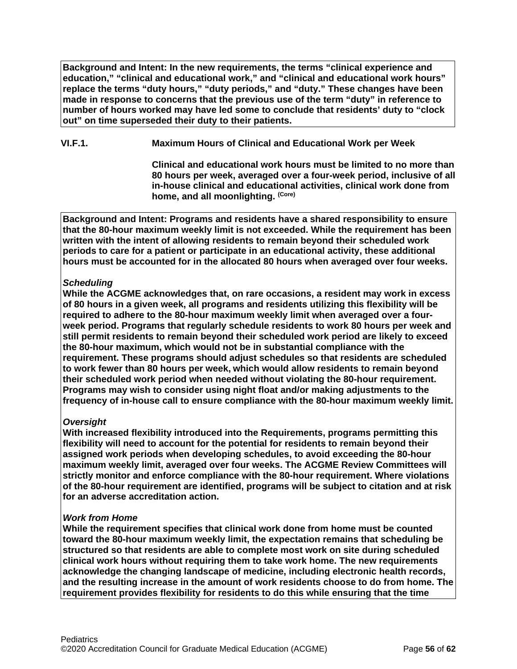**Background and Intent: In the new requirements, the terms "clinical experience and education," "clinical and educational work," and "clinical and educational work hours" replace the terms "duty hours," "duty periods," and "duty." These changes have been made in response to concerns that the previous use of the term "duty" in reference to number of hours worked may have led some to conclude that residents' duty to "clock out" on time superseded their duty to their patients.**

**VI.F.1. Maximum Hours of Clinical and Educational Work per Week**

**Clinical and educational work hours must be limited to no more than 80 hours per week, averaged over a four-week period, inclusive of all in-house clinical and educational activities, clinical work done from home, and all moonlighting. (Core)**

**Background and Intent: Programs and residents have a shared responsibility to ensure that the 80-hour maximum weekly limit is not exceeded. While the requirement has been written with the intent of allowing residents to remain beyond their scheduled work periods to care for a patient or participate in an educational activity, these additional hours must be accounted for in the allocated 80 hours when averaged over four weeks.**

# *Scheduling*

**While the ACGME acknowledges that, on rare occasions, a resident may work in excess of 80 hours in a given week, all programs and residents utilizing this flexibility will be required to adhere to the 80-hour maximum weekly limit when averaged over a fourweek period. Programs that regularly schedule residents to work 80 hours per week and still permit residents to remain beyond their scheduled work period are likely to exceed the 80-hour maximum, which would not be in substantial compliance with the requirement. These programs should adjust schedules so that residents are scheduled to work fewer than 80 hours per week, which would allow residents to remain beyond their scheduled work period when needed without violating the 80-hour requirement. Programs may wish to consider using night float and/or making adjustments to the frequency of in-house call to ensure compliance with the 80-hour maximum weekly limit.**

# *Oversight*

**With increased flexibility introduced into the Requirements, programs permitting this flexibility will need to account for the potential for residents to remain beyond their assigned work periods when developing schedules, to avoid exceeding the 80-hour maximum weekly limit, averaged over four weeks. The ACGME Review Committees will strictly monitor and enforce compliance with the 80-hour requirement. Where violations of the 80-hour requirement are identified, programs will be subject to citation and at risk for an adverse accreditation action.**

## *Work from Home*

**While the requirement specifies that clinical work done from home must be counted toward the 80-hour maximum weekly limit, the expectation remains that scheduling be structured so that residents are able to complete most work on site during scheduled clinical work hours without requiring them to take work home. The new requirements acknowledge the changing landscape of medicine, including electronic health records, and the resulting increase in the amount of work residents choose to do from home. The requirement provides flexibility for residents to do this while ensuring that the time**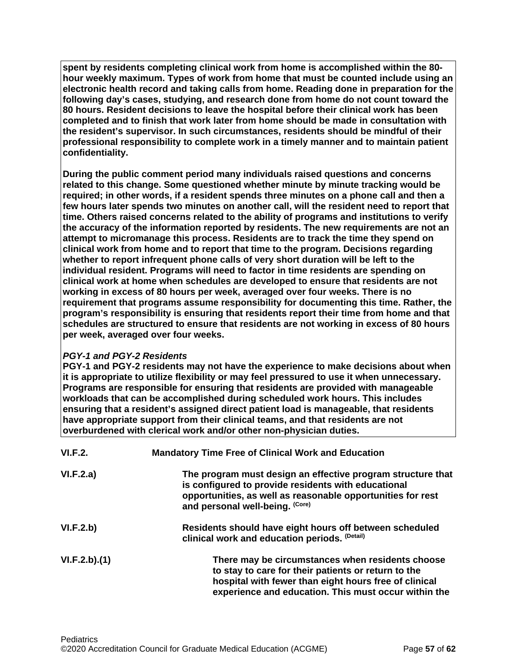**spent by residents completing clinical work from home is accomplished within the 80 hour weekly maximum. Types of work from home that must be counted include using an electronic health record and taking calls from home. Reading done in preparation for the following day's cases, studying, and research done from home do not count toward the 80 hours. Resident decisions to leave the hospital before their clinical work has been completed and to finish that work later from home should be made in consultation with the resident's supervisor. In such circumstances, residents should be mindful of their professional responsibility to complete work in a timely manner and to maintain patient confidentiality.**

**During the public comment period many individuals raised questions and concerns related to this change. Some questioned whether minute by minute tracking would be required; in other words, if a resident spends three minutes on a phone call and then a few hours later spends two minutes on another call, will the resident need to report that time. Others raised concerns related to the ability of programs and institutions to verify the accuracy of the information reported by residents. The new requirements are not an attempt to micromanage this process. Residents are to track the time they spend on clinical work from home and to report that time to the program. Decisions regarding whether to report infrequent phone calls of very short duration will be left to the individual resident. Programs will need to factor in time residents are spending on clinical work at home when schedules are developed to ensure that residents are not working in excess of 80 hours per week, averaged over four weeks. There is no requirement that programs assume responsibility for documenting this time. Rather, the program's responsibility is ensuring that residents report their time from home and that schedules are structured to ensure that residents are not working in excess of 80 hours per week, averaged over four weeks.**

## *PGY-1 and PGY-2 Residents*

**PGY-1 and PGY-2 residents may not have the experience to make decisions about when it is appropriate to utilize flexibility or may feel pressured to use it when unnecessary. Programs are responsible for ensuring that residents are provided with manageable workloads that can be accomplished during scheduled work hours. This includes ensuring that a resident's assigned direct patient load is manageable, that residents have appropriate support from their clinical teams, and that residents are not overburdened with clerical work and/or other non-physician duties.**

| <b>VI.F.2.</b> | <b>Mandatory Time Free of Clinical Work and Education</b>                                                                                                                                                                |
|----------------|--------------------------------------------------------------------------------------------------------------------------------------------------------------------------------------------------------------------------|
| VI.F.2.a)      | The program must design an effective program structure that<br>is configured to provide residents with educational<br>opportunities, as well as reasonable opportunities for rest<br>and personal well-being. (Core)     |
| VI.F.2.b)      | Residents should have eight hours off between scheduled<br>clinical work and education periods. (Detail)                                                                                                                 |
| VI.F.2.b)(1)   | There may be circumstances when residents choose<br>to stay to care for their patients or return to the<br>hospital with fewer than eight hours free of clinical<br>experience and education. This must occur within the |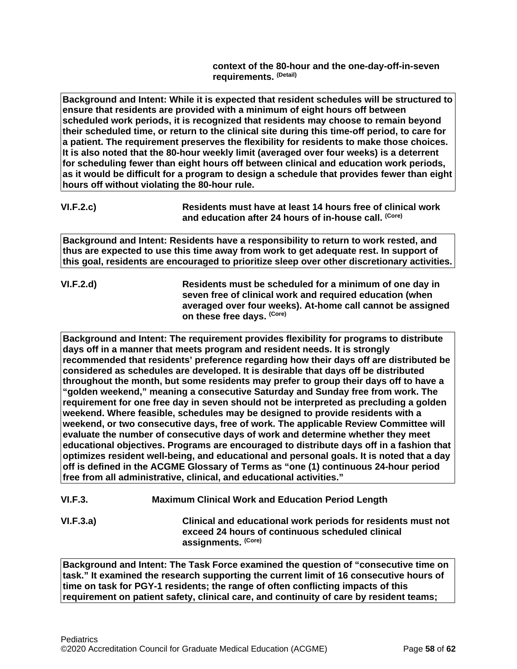**context of the 80-hour and the one-day-off-in-seven requirements. (Detail)**

**Background and Intent: While it is expected that resident schedules will be structured to ensure that residents are provided with a minimum of eight hours off between scheduled work periods, it is recognized that residents may choose to remain beyond their scheduled time, or return to the clinical site during this time-off period, to care for a patient. The requirement preserves the flexibility for residents to make those choices. It is also noted that the 80-hour weekly limit (averaged over four weeks) is a deterrent for scheduling fewer than eight hours off between clinical and education work periods, as it would be difficult for a program to design a schedule that provides fewer than eight hours off without violating the 80-hour rule.**

**Background and Intent: Residents have a responsibility to return to work rested, and thus are expected to use this time away from work to get adequate rest. In support of this goal, residents are encouraged to prioritize sleep over other discretionary activities.**

**VI.F.2.d) Residents must be scheduled for a minimum of one day in seven free of clinical work and required education (when averaged over four weeks). At-home call cannot be assigned on these free days. (Core)**

**Background and Intent: The requirement provides flexibility for programs to distribute days off in a manner that meets program and resident needs. It is strongly recommended that residents' preference regarding how their days off are distributed be considered as schedules are developed. It is desirable that days off be distributed throughout the month, but some residents may prefer to group their days off to have a "golden weekend," meaning a consecutive Saturday and Sunday free from work. The requirement for one free day in seven should not be interpreted as precluding a golden weekend. Where feasible, schedules may be designed to provide residents with a weekend, or two consecutive days, free of work. The applicable Review Committee will evaluate the number of consecutive days of work and determine whether they meet educational objectives. Programs are encouraged to distribute days off in a fashion that optimizes resident well-being, and educational and personal goals. It is noted that a day off is defined in the ACGME Glossary of Terms as "one (1) continuous 24-hour period free from all administrative, clinical, and educational activities."**

| <b>VI.F.3.</b> | <b>Maximum Clinical Work and Education Period Length</b> |
|----------------|----------------------------------------------------------|
|                |                                                          |

**VI.F.3.a) Clinical and educational work periods for residents must not exceed 24 hours of continuous scheduled clinical assignments. (Core)**

**Background and Intent: The Task Force examined the question of "consecutive time on task." It examined the research supporting the current limit of 16 consecutive hours of time on task for PGY-1 residents; the range of often conflicting impacts of this requirement on patient safety, clinical care, and continuity of care by resident teams;** 

**VI.F.2.c) Residents must have at least 14 hours free of clinical work and education after 24 hours of in-house call. (Core)**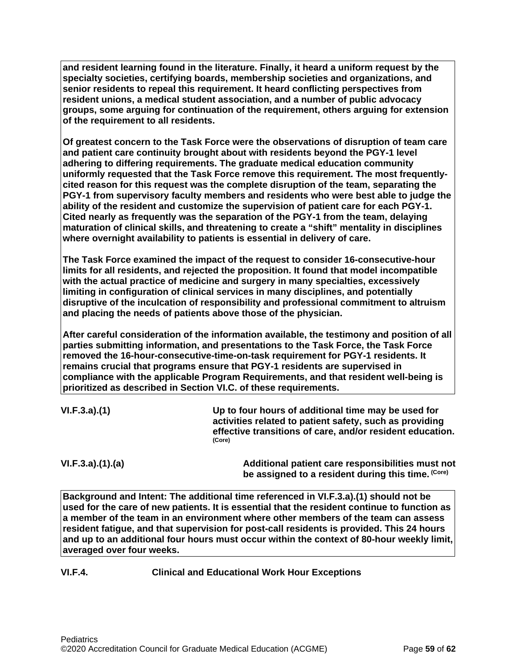**and resident learning found in the literature. Finally, it heard a uniform request by the specialty societies, certifying boards, membership societies and organizations, and senior residents to repeal this requirement. It heard conflicting perspectives from resident unions, a medical student association, and a number of public advocacy groups, some arguing for continuation of the requirement, others arguing for extension of the requirement to all residents.**

**Of greatest concern to the Task Force were the observations of disruption of team care and patient care continuity brought about with residents beyond the PGY-1 level adhering to differing requirements. The graduate medical education community uniformly requested that the Task Force remove this requirement. The most frequentlycited reason for this request was the complete disruption of the team, separating the PGY-1 from supervisory faculty members and residents who were best able to judge the ability of the resident and customize the supervision of patient care for each PGY-1. Cited nearly as frequently was the separation of the PGY-1 from the team, delaying maturation of clinical skills, and threatening to create a "shift" mentality in disciplines where overnight availability to patients is essential in delivery of care.**

**The Task Force examined the impact of the request to consider 16-consecutive-hour limits for all residents, and rejected the proposition. It found that model incompatible with the actual practice of medicine and surgery in many specialties, excessively limiting in configuration of clinical services in many disciplines, and potentially disruptive of the inculcation of responsibility and professional commitment to altruism and placing the needs of patients above those of the physician.**

**After careful consideration of the information available, the testimony and position of all parties submitting information, and presentations to the Task Force, the Task Force removed the 16-hour-consecutive-time-on-task requirement for PGY-1 residents. It remains crucial that programs ensure that PGY-1 residents are supervised in compliance with the applicable Program Requirements, and that resident well-being is prioritized as described in Section VI.C. of these requirements.**

| VI.F.3.a)(1) | Up to four hours of additional time may be used for                                                                  |
|--------------|----------------------------------------------------------------------------------------------------------------------|
|              | activities related to patient safety, such as providing<br>effective transitions of care, and/or resident education. |
|              | (Core)                                                                                                               |

**VI.F.3.a).(1).(a) Additional patient care responsibilities must not be assigned to a resident during this time. (Core)**

**Background and Intent: The additional time referenced in VI.F.3.a).(1) should not be used for the care of new patients. It is essential that the resident continue to function as a member of the team in an environment where other members of the team can assess resident fatigue, and that supervision for post-call residents is provided. This 24 hours and up to an additional four hours must occur within the context of 80-hour weekly limit, averaged over four weeks.**

## **VI.F.4. Clinical and Educational Work Hour Exceptions**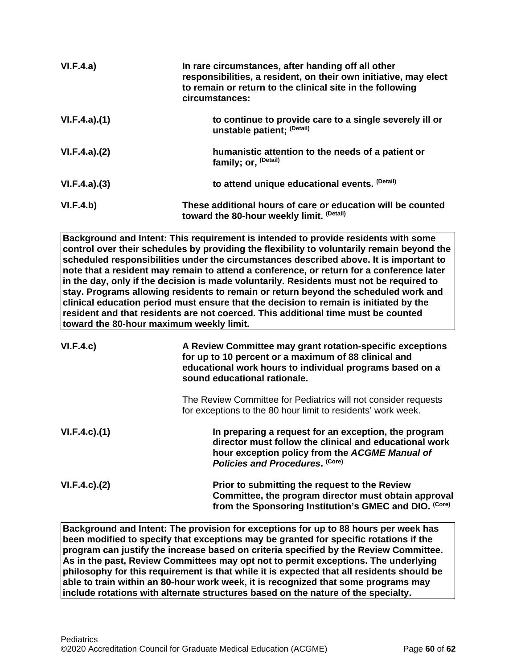| VI.F.4.a)    | In rare circumstances, after handing off all other<br>responsibilities, a resident, on their own initiative, may elect<br>to remain or return to the clinical site in the following<br>circumstances: |
|--------------|-------------------------------------------------------------------------------------------------------------------------------------------------------------------------------------------------------|
| VI.F.4.a)(1) | to continue to provide care to a single severely ill or<br>unstable patient; (Detail)                                                                                                                 |
| VI.F.4.a)(2) | humanistic attention to the needs of a patient or<br>family; or, <sup>(Detail)</sup>                                                                                                                  |
| VI.F.4.a)(3) | to attend unique educational events. (Detail)                                                                                                                                                         |
| VI.F.4.b)    | These additional hours of care or education will be counted<br>toward the 80-hour weekly limit. (Detail)                                                                                              |

**Background and Intent: This requirement is intended to provide residents with some control over their schedules by providing the flexibility to voluntarily remain beyond the scheduled responsibilities under the circumstances described above. It is important to note that a resident may remain to attend a conference, or return for a conference later in the day, only if the decision is made voluntarily. Residents must not be required to stay. Programs allowing residents to remain or return beyond the scheduled work and clinical education period must ensure that the decision to remain is initiated by the resident and that residents are not coerced. This additional time must be counted toward the 80-hour maximum weekly limit.**

| VI.F.4.c)           | A Review Committee may grant rotation-specific exceptions<br>for up to 10 percent or a maximum of 88 clinical and<br>educational work hours to individual programs based on a<br>sound educational rationale. |
|---------------------|---------------------------------------------------------------------------------------------------------------------------------------------------------------------------------------------------------------|
|                     | The Review Committee for Pediatrics will not consider requests<br>for exceptions to the 80 hour limit to residents' work week.                                                                                |
| $VI.F.4.c$ . $(1)$  | In preparing a request for an exception, the program<br>director must follow the clinical and educational work<br>hour exception policy from the ACGME Manual of<br>Policies and Procedures. (Core)           |
| $VI.F.4.c$ ). $(2)$ | Prior to submitting the request to the Review<br>Committee, the program director must obtain approval<br>from the Sponsoring Institution's GMEC and DIO. (Core)                                               |

**Background and Intent: The provision for exceptions for up to 88 hours per week has been modified to specify that exceptions may be granted for specific rotations if the program can justify the increase based on criteria specified by the Review Committee. As in the past, Review Committees may opt not to permit exceptions. The underlying philosophy for this requirement is that while it is expected that all residents should be able to train within an 80-hour work week, it is recognized that some programs may include rotations with alternate structures based on the nature of the specialty.**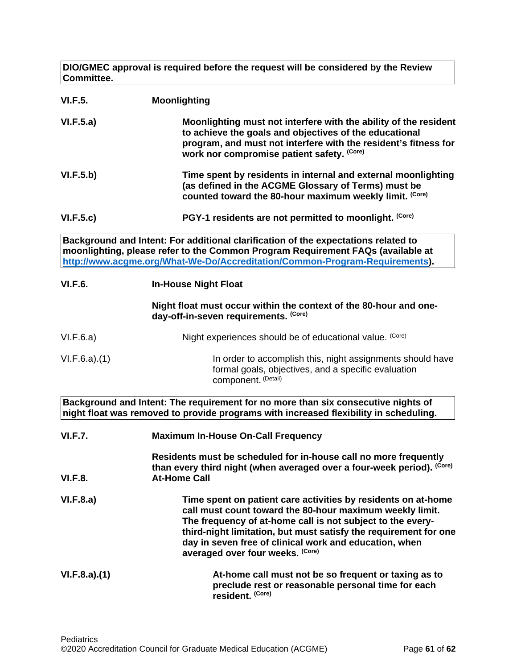**DIO/GMEC approval is required before the request will be considered by the Review Committee.**

| <b>VI.F.5.</b> | <b>Moonlighting</b>                                                                                                                                                                                                                                                                                                                                       |
|----------------|-----------------------------------------------------------------------------------------------------------------------------------------------------------------------------------------------------------------------------------------------------------------------------------------------------------------------------------------------------------|
| VI.F.5.a)      | Moonlighting must not interfere with the ability of the resident<br>to achieve the goals and objectives of the educational<br>program, and must not interfere with the resident's fitness for<br>work nor compromise patient safety. (Core)                                                                                                               |
| VI.F.5.b)      | Time spent by residents in internal and external moonlighting<br>(as defined in the ACGME Glossary of Terms) must be<br>counted toward the 80-hour maximum weekly limit. (Core)                                                                                                                                                                           |
| VI.F.5.c)      | PGY-1 residents are not permitted to moonlight. (Core)                                                                                                                                                                                                                                                                                                    |
|                | Background and Intent: For additional clarification of the expectations related to<br>moonlighting, please refer to the Common Program Requirement FAQs (available at<br>http://www.acgme.org/What-We-Do/Accreditation/Common-Program-Requirements).                                                                                                      |
| <b>VI.F.6.</b> | <b>In-House Night Float</b>                                                                                                                                                                                                                                                                                                                               |
|                | Night float must occur within the context of the 80-hour and one-<br>day-off-in-seven requirements. (Core)                                                                                                                                                                                                                                                |
| VI.F.6.a)      | Night experiences should be of educational value. (Core)                                                                                                                                                                                                                                                                                                  |
| VI.F.6.a)(1)   | In order to accomplish this, night assignments should have<br>formal goals, objectives, and a specific evaluation<br>component. (Detail)                                                                                                                                                                                                                  |
|                | Background and Intent: The requirement for no more than six consecutive nights of<br>night float was removed to provide programs with increased flexibility in scheduling.                                                                                                                                                                                |
| <b>VI.F.7.</b> | <b>Maximum In-House On-Call Frequency</b>                                                                                                                                                                                                                                                                                                                 |
| <b>VI.F.8.</b> | Residents must be scheduled for in-house call no more frequently<br>than every third night (when averaged over a four-week period). (Core)<br><b>At-Home Call</b>                                                                                                                                                                                         |
| VI.F.8.a)      | Time spent on patient care activities by residents on at-home<br>call must count toward the 80-hour maximum weekly limit.<br>The frequency of at-home call is not subject to the every-<br>third-night limitation, but must satisfy the requirement for one<br>day in seven free of clinical work and education, when<br>averaged over four weeks. (Core) |
| VI.F.8.a)(1)   | At-home call must not be so frequent or taxing as to<br>preclude rest or reasonable personal time for each<br>resident. (Core)                                                                                                                                                                                                                            |